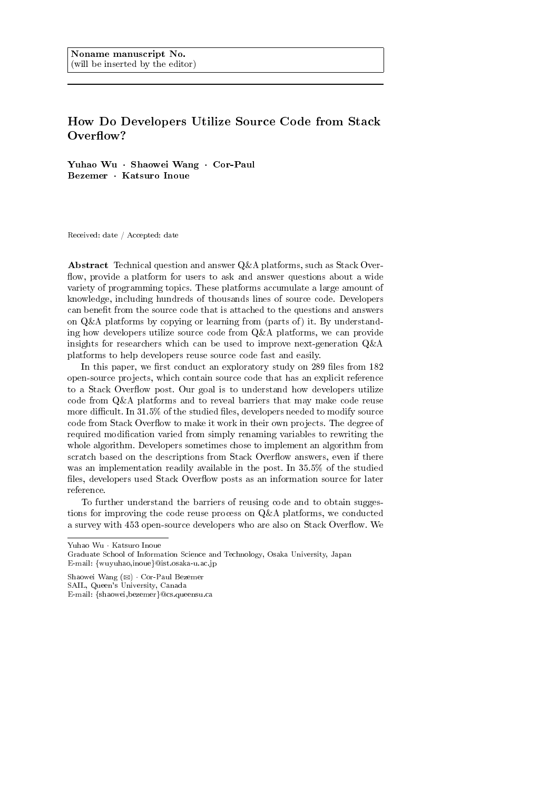# How Do Developers Utilize Source Code from Stack Overflow?

Yuhao Wu · Shaowei Wang · Cor-Paul Bezemer · Katsuro Inoue

Received: date / Accepted: date

Abstract Technical question and answer Q&A platforms, such as Stack Over flow, provide a platform for users to ask and answer questions about a wide variety of programming topics. These platforms accumulate a large amount of knowledge, including hundreds of thousands lines of source code. Developers can benefit from the source code that is attached to the questions and answers on Q&A platforms by copying or learning from (parts of) it. By understanding how developers utilize source code from Q&A platforms, we can provide insights for researchers which can be used to improve next-generation Q&A platforms to help developers reuse source code fast and easily.

In this paper, we first conduct an exploratory study on 289 files from 182 open-source projects, which contain source code that has an explicit reference to a Stack Overflow post. Our goal is to understand how developers utilize code from Q&A platforms and to reveal barriers that may make code reuse more difficult. In  $31.5\%$  of the studied files, developers needed to modify source code from Stack Overflow to make it work in their own projects. The degree of required modification varied from simply renaming variables to rewriting the whole algorithm. Developers sometimes chose to implement an algorithm from scratch based on the descriptions from Stack Overflow answers, even if there was an implementation readily available in the post. In 35.5% of the studied files, developers used Stack Overflow posts as an information source for later reference.

To further understand the barriers of reusing code and to obtain suggestions for improving the code reuse process on Q&A platforms, we conducted a survey with 453 open-source developers who are also on Stack Overflow. We

Yuhao Wu · Katsuro Inoue

Graduate School of Information Science and Technology, Osaka University, Japan E-mail: {wuyuhao,inoue}@ist.osaka-u.ac.jp

Shaowei Wang (B) · Cor-Paul Bezemer SAIL, Queen's University, Canada E-mail: {shaowei,bezemer}@cs.queensu.ca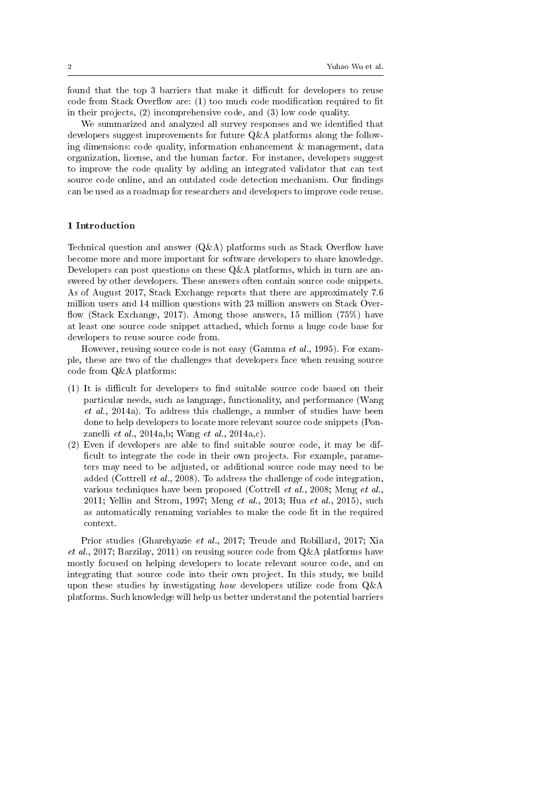found that the top 3 barriers that make it difficult for developers to reuse code from Stack Overflow are:  $(1)$  too much code modification required to fit in their projects, (2) incomprehensive code, and (3) low code quality.

We summarized and analyzed all survey responses and we identified that developers suggest improvements for future Q&A platforms along the following dimensions: code quality, information enhancement & management, data organization, license, and the human factor. For instance, developers suggest to improve the code quality by adding an integrated validator that can test source code online, and an outdated code detection mechanism. Our findings can be used as a roadmap for researchers and developers to improve code reuse.

#### 1 Introduction

Technical question and answer  $(Q\&A)$  platforms such as Stack Overflow have become more and more important for software developers to share knowledge. Developers can post questions on these Q&A platforms, which in turn are answered by other developers. These answers often contain source code snippets. As of August 2017, Stack Exchange reports that there are approximately 7.6 million users and 14 million questions with 23 million answers on Stack Over- flow [\(Stack Exchange, 2017\)](#page-36-0). Among those answers, 15 million  $(75\%)$  have at least one source code snippet attached, which forms a huge code base for developers to reuse source code from.

However, reusing source code is not easy [\(Gamma](#page-34-0) et al., [1995\)](#page-34-0). For example, these are two of the challenges that developers face when reusing source code from Q&A platforms:

- $(1)$  It is difficult for developers to find suitable source code based on their particular needs, such as language, functionality, and performance [\(Wang](#page-37-0) [et al., 2014a\)](#page-37-0). To address this challenge, a number of studies have been done to help developers to locate more relevant source code snippets [\(Pon](#page-35-0)[zanelli](#page-35-0) et al., [2014a,](#page-35-0)[b;](#page-36-1) [Wang](#page-37-0) et al., [2014a,](#page-37-0)[c\)](#page-37-1).
- $(2)$  Even if developers are able to find suitable source code, it may be difficult to integrate the code in their own projects. For example, parameters may need to be adjusted, or additional source code may need to be added [\(Cottrell](#page-34-1) et al., [2008\)](#page-34-1). To address the challenge of code integration, various techniques have been proposed [\(Cottrell](#page-34-1) et al., [2008;](#page-34-1) [Meng](#page-35-1) et al., [2011;](#page-35-1) [Yellin and Strom, 1997;](#page-38-0) [Meng](#page-35-2) et al., [2013;](#page-35-2) Hua [et al., 2015\)](#page-34-2), such as automatically renaming variables to make the code fit in the required context.

Prior studies [\(Gharehyazie](#page-34-3) et al., [2017;](#page-34-3) [Treude and Robillard, 2017;](#page-37-2) [Xia](#page-38-1) [et al., 2017;](#page-38-1) [Barzilay, 2011\)](#page-33-0) on reusing source code from Q&A platforms have mostly focused on helping developers to locate relevant source code, and on integrating that source code into their own project. In this study, we build upon these studies by investigating how developers utilize code from Q&A platforms. Such knowledge will help us better understand the potential barriers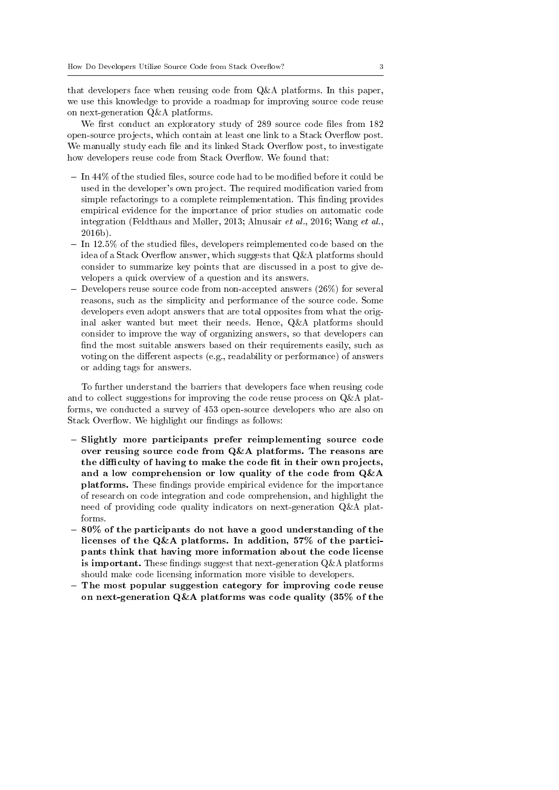that developers face when reusing code from Q&A platforms. In this paper, we use this knowledge to provide a roadmap for improving source code reuse on next-generation Q&A platforms.

We first conduct an exploratory study of 289 source code files from 182 open-source projects, which contain at least one link to a Stack Overflow post. We manually study each file and its linked Stack Overflow post, to investigate how developers reuse code from Stack Overflow. We found that:

- $-$  In 44% of the studied files, source code had to be modified before it could be used in the developer's own project. The required modification varied from simple refactorings to a complete reimplementation. This finding provides empirical evidence for the importance of prior studies on automatic code integration [\(Feldthaus and Møller, 2013;](#page-34-4) [Alnusair](#page-33-1) et al., [2016;](#page-33-1) [Wang](#page-37-3) et al., [2016b\)](#page-37-3).
- In  $12.5\%$  of the studied files, developers reimplemented code based on the idea of a Stack Overflow answer, which suggests that  $Q\&A$  platforms should consider to summarize key points that are discussed in a post to give developers a quick overview of a question and its answers.
- Developers reuse source code from non-accepted answers (26%) for several reasons, such as the simplicity and performance of the source code. Some developers even adopt answers that are total opposites from what the original asker wanted but meet their needs. Hence, Q&A platforms should consider to improve the way of organizing answers, so that developers can find the most suitable answers based on their requirements easily, such as voting on the different aspects (e.g., readability or performance) of answers or adding tags for answers.

To further understand the barriers that developers face when reusing code and to collect suggestions for improving the code reuse process on  $Q\&A$  platforms, we conducted a survey of 453 open-source developers who are also on Stack Overflow. We highlight our findings as follows:

- Slightly more participants prefer reimplementing source code over reusing source code from Q&A platforms. The reasons are the difficulty of having to make the code fit in their own projects, and a low comprehension or low quality of the code from Q&A platforms. These findings provide empirical evidence for the importance of research on code integration and code comprehension, and highlight the need of providing code quality indicators on next-generation Q&A platforms.
- $-80\%$  of the participants do not have a good understanding of the licenses of the Q&A platforms. In addition, 57% of the participants think that having more information about the code license is important. These findings suggest that next-generation  $Q\&A$  platforms should make code licensing information more visible to developers.
- The most popular suggestion category for improving code reuse on next-generation Q&A platforms was code quality (35% of the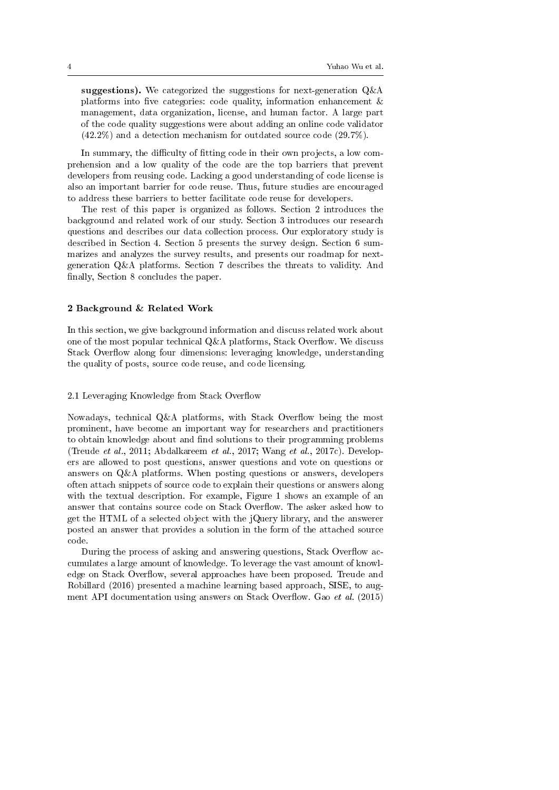suggestions). We categorized the suggestions for next-generation Q&A platforms into five categories: code quality, information enhancement  $\&$ management, data organization, license, and human factor. A large part of the code quality suggestions were about adding an online code validator (42.2%) and a detection mechanism for outdated source code (29.7%).

In summary, the difficulty of fitting code in their own projects, a low comprehension and a low quality of the code are the top barriers that prevent developers from reusing code. Lacking a good understanding of code license is also an important barrier for code reuse. Thus, future studies are encouraged to address these barriers to better facilitate code reuse for developers.

The rest of this paper is organized as follows. Section [2](#page-3-0) introduces the background and related work of our study. Section [3](#page-6-0) introduces our research questions and describes our data collection process. Our exploratory study is described in Section [4.](#page-10-0) Section [5](#page-19-0) presents the survey design. Section [6](#page-23-0) summarizes and analyzes the survey results, and presents our roadmap for nextgeneration Q&A platforms. Section [7](#page-30-0) describes the threats to validity. And finally, Section [8](#page-32-0) concludes the paper.

### <span id="page-3-0"></span>2 Background & Related Work

In this section, we give background information and discuss related work about one of the most popular technical  $Q\&A$  platforms, Stack Overflow. We discuss Stack Overflow along four dimensions: leveraging knowledge, understanding the quality of posts, source code reuse, and code licensing.

# 2.1 Leveraging Knowledge from Stack Overflow

Nowadays, technical Q&A platforms, with Stack Overflow being the most prominent, have become an important way for researchers and practitioners to obtain knowledge about and find solutions to their programming problems [\(Treude](#page-37-4) et al., [2011;](#page-37-4) [Abdalkareem](#page-33-2) et al., [2017;](#page-33-2) [Wang](#page-37-5) et al., [2017c\)](#page-37-5). Developers are allowed to post questions, answer questions and vote on questions or answers on Q&A platforms. When posting questions or answers, developers often attach snippets of source code to explain their questions or answers along with the textual description. For example, Figure [1](#page-5-0) shows an example of an answer that contains source code on Stack Overflow. The asker asked how to get the HTML of a selected object with the jQuery library, and the answerer posted an answer that provides a solution in the form of the attached source code.

During the process of asking and answering questions, Stack Overflow accumulates a large amount of knowledge. To leverage the vast amount of knowl-edge on Stack Overflow, several approaches have been proposed. [Treude and](#page-37-6) [Robillard](#page-37-6) [\(2016\)](#page-37-6) presented a machine learning based approach, SISE, to augment API documentation using answers on Stack Overflow. Gao [et al.](#page-34-5)  $(2015)$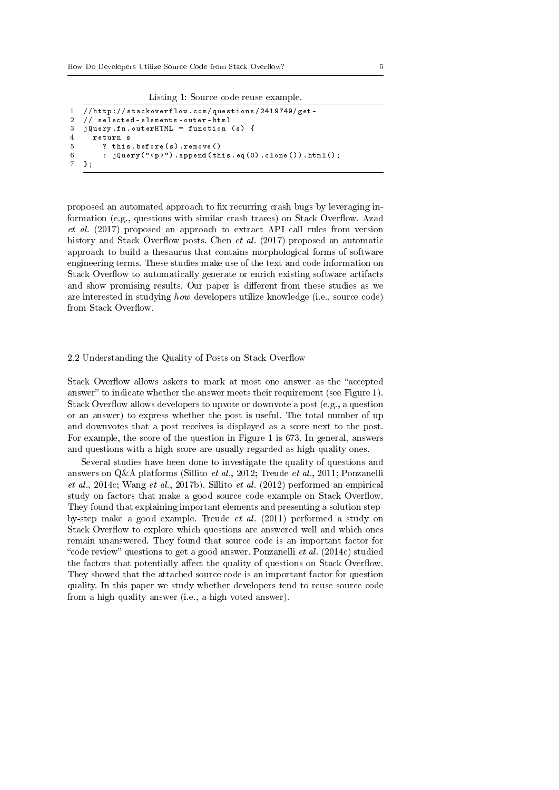```
Listing 1: Source code reuse example.
```

```
1 // http :// stackoverflow . com / questions /2419749/ get -
2 // selected-elements-outer-html<br>3 iQuery.fn.outerHTML = function
3 jQuery . fn . outerHTML = function (s) {<br>4 return s
      return s
5 ? this . before (s). remove ()
6 : jQuery (" <p>&gt;"). append (this. eq (0). clone ()). html ();<br>
7 :
   7 };
```
proposed an automated approach to fix recurring crash bugs by leveraging in-formation (e.g., questions with similar crash traces) on Stack Overflow. [Azad](#page-33-3) [et al.](#page-33-3) [\(2017\)](#page-33-3) proposed an approach to extract API call rules from version history and Stack Overflow posts. [Chen](#page-34-6) et al.  $(2017)$  proposed an automatic approach to build a thesaurus that contains morphological forms of software engineering terms. These studies make use of the text and code information on Stack Overflow to automatically generate or enrich existing software artifacts and show promising results. Our paper is different from these studies as we are interested in studying how developers utilize knowledge (i.e., source code) from Stack Overflow.

#### 2.2 Understanding the Quality of Posts on Stack Overflow

Stack Overflow allows askers to mark at most one answer as the "accepted" answer" to indicate whether the answer meets their requirement (see Figure [1\)](#page-5-0). Stack Overflow allows developers to upvote or downvote a post  $(e.g., a question$ or an answer) to express whether the post is useful. The total number of up and downvotes that a post receives is displayed as a score next to the post. For example, the score of the question in Figure [1](#page-5-0) is 673. In general, answers and questions with a high score are usually regarded as high-quality ones.

Several studies have been done to investigate the quality of questions and answers on Q&A platforms [\(Sillito](#page-36-2) et al., [2012;](#page-36-2) [Treude](#page-37-4) et al., [2011;](#page-37-4) [Ponzanelli](#page-36-3) [et al., 2014c;](#page-36-3) [Wang](#page-37-7) et al., [2017b\)](#page-37-7). [Sillito](#page-36-2) et al. [\(2012\)](#page-36-2) performed an empirical study on factors that make a good source code example on Stack Overflow. They found that explaining important elements and presenting a solution stepby-step make a good example. [Treude](#page-37-4) et al. [\(2011\)](#page-37-4) performed a study on Stack Overflow to explore which questions are answered well and which ones remain unanswered. They found that source code is an important factor for "code review" questions to get a good answer. [Ponzanelli](#page-36-3) et al.  $(2014c)$  studied the factors that potentially affect the quality of questions on Stack Overflow. They showed that the attached source code is an important factor for question quality. In this paper we study whether developers tend to reuse source code from a high-quality answer (i.e., a high-voted answer).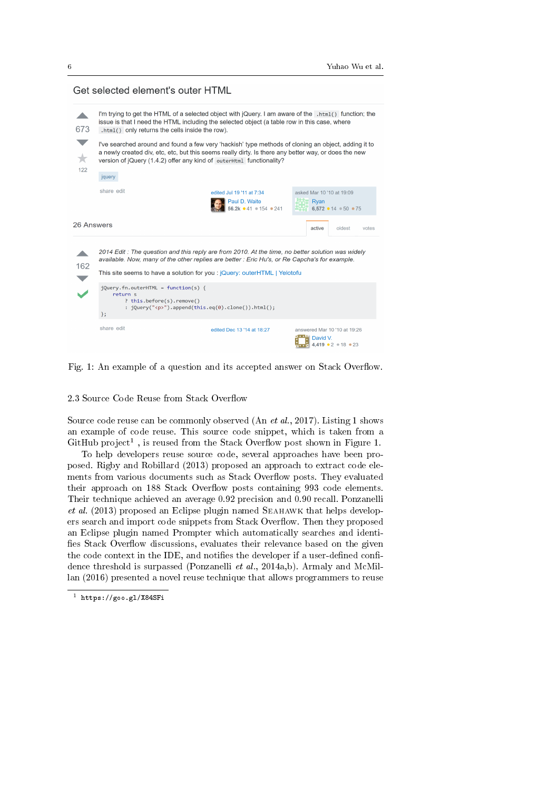<span id="page-5-0"></span>

|            | Get selected element's outer HTML                                                                                                                                                                                                                                                   |                                                 |                                                                                                                                                                                                       |  |                                   |                                                                             |       |
|------------|-------------------------------------------------------------------------------------------------------------------------------------------------------------------------------------------------------------------------------------------------------------------------------------|-------------------------------------------------|-------------------------------------------------------------------------------------------------------------------------------------------------------------------------------------------------------|--|-----------------------------------|-----------------------------------------------------------------------------|-------|
| 673        |                                                                                                                                                                                                                                                                                     | .html() only returns the cells inside the row). | I'm trying to get the HTML of a selected object with jQuery. I am aware of the . html() function; the<br>issue is that I need the HTML including the selected object (a table row in this case, where |  |                                   |                                                                             |       |
| 122        | I've searched around and found a few very 'hackish' type methods of cloning an object, adding it to<br>a newly created div, etc, etc, but this seems really dirty. Is there any better way, or does the new<br>version of jQuery (1.4.2) offer any kind of outerHtml functionality? |                                                 |                                                                                                                                                                                                       |  |                                   |                                                                             |       |
|            | jquery                                                                                                                                                                                                                                                                              |                                                 |                                                                                                                                                                                                       |  |                                   |                                                                             |       |
|            | share edit                                                                                                                                                                                                                                                                          |                                                 | edited Jul 19 '11 at 7:34<br>Paul D. Waite<br>56.2k • 41 • 154 • 241                                                                                                                                  |  | asked Mar 10 '10 at 19:09<br>Ryan | 6,572 $\bullet$ 14 $\bullet$ 50 $\bullet$ 75                                |       |
| 26 Answers |                                                                                                                                                                                                                                                                                     |                                                 |                                                                                                                                                                                                       |  | active                            | oldest                                                                      | votes |
| 162        |                                                                                                                                                                                                                                                                                     |                                                 | 2014 Edit: The question and this reply are from 2010. At the time, no better solution was widely<br>available. Now, many of the other replies are better : Eric Hu's, or Re Capcha's for example.     |  |                                   |                                                                             |       |
|            |                                                                                                                                                                                                                                                                                     |                                                 | This site seems to have a solution for you : jQuery: outerHTML   Yelotofu                                                                                                                             |  |                                   |                                                                             |       |
|            | $jQuery.fn.outerHTML = function(s)$ {<br>return s<br>};                                                                                                                                                                                                                             | ? this.before(s).remove()                       | : $jQuery("")$ .append(this.eq(0).clone()).html();                                                                                                                                                    |  |                                   |                                                                             |       |
|            | share edit                                                                                                                                                                                                                                                                          |                                                 | edited Dec 13 '14 at 18:27                                                                                                                                                                            |  | David V.                          | answered Mar 10 '10 at 19:26<br>4,419 $\bullet$ 2 $\bullet$ 18 $\bullet$ 23 |       |

Fig. 1: An example of a question and its accepted answer on Stack Overflow.

## 2.3 Source Code Reuse from Stack Overflow

Source code reuse can be commonly observed (An [et al., 2017\)](#page-33-4). Listing [1](#page-4-0) shows an example of code reuse. This source code snippet, which is taken from a  $G$ itHub project<sup>[1](#page-5-1)</sup>, is reused from the Stack Overflow post shown in Figure [1.](#page-5-0)

To help developers reuse source code, several approaches have been proposed. [Rigby and Robillard](#page-36-4) [\(2013\)](#page-36-4) proposed an approach to extract code elements from various documents such as Stack Overflow posts. They evaluated their approach on 188 Stack Overflow posts containing 993 code elements. Their technique achieved an average 0.92 precision and 0.90 recall. [Ponzanelli](#page-35-3) [et al.](#page-35-3) [\(2013\)](#page-35-3) proposed an Eclipse plugin named Seahawk that helps developers search and import code snippets from Stack Overflow. Then they proposed an Eclipse plugin named Prompter which automatically searches and identi fies Stack Overflow discussions, evaluates their relevance based on the given the code context in the IDE, and notifies the developer if a user-defined confi-dence threshold is surpassed [\(Ponzanelli](#page-35-0) et al., [2014a,](#page-35-0)[b\)](#page-36-1). [Armaly and McMil](#page-33-5)[lan](#page-33-5) [\(2016\)](#page-33-5) presented a novel reuse technique that allows programmers to reuse

<span id="page-5-1"></span> $1$  <https://goo.gl/X84SFi>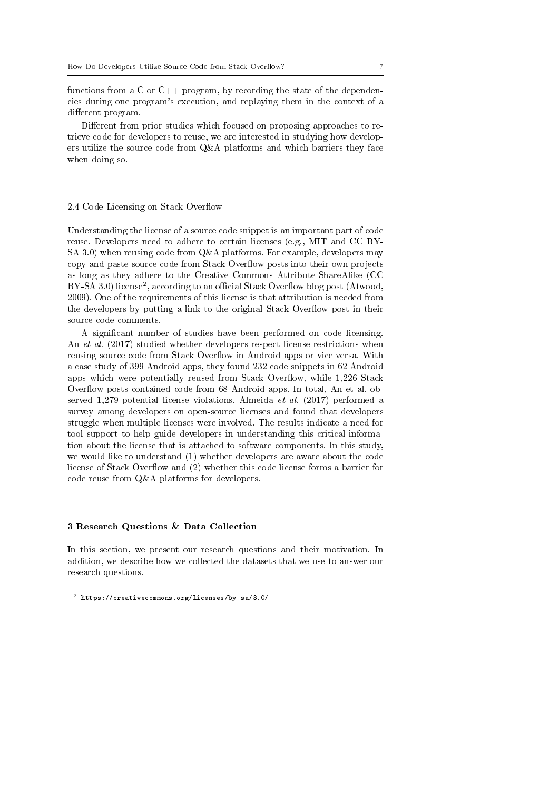functions from a C or  $C_{++}$  program, by recording the state of the dependencies during one program's execution, and replaying them in the context of a different program.

Different from prior studies which focused on proposing approaches to retrieve code for developers to reuse, we are interested in studying how developers utilize the source code from Q&A platforms and which barriers they face when doing so.

#### <span id="page-6-2"></span>2.4 Code Licensing on Stack Overflow

Understanding the license of a source code snippet is an important part of code reuse. Developers need to adhere to certain licenses (e.g., MIT and CC BY-SA 3.0) when reusing code from Q&A platforms. For example, developers may copy-and-paste source code from Stack Overflow posts into their own projects as long as they adhere to the Creative Commons Attribute-ShareAlike (CC  $BY-SA$  3.0) license<sup>[2](#page-6-1)</sup>, according to an official Stack Overflow blog post [\(Atwood,](#page-33-6) [2009\)](#page-33-6). One of the requirements of this license is that attribution is needed from the developers by putting a link to the original Stack Overflow post in their source code comments.

A significant number of studies have been performed on code licensing. An *[et al.](#page-33-4)* [\(2017\)](#page-33-4) studied whether developers respect license restrictions when reusing source code from Stack Overflow in Android apps or vice versa. With a case study of 399 Android apps, they found 232 code snippets in 62 Android apps which were potentially reused from Stack Overflow, while 1,226 Stack Overflow posts contained code from  $68$  Android apps. In total, An et al. observed 1,279 potential license violations. [Almeida](#page-33-7) et al. [\(2017\)](#page-33-7) performed a survey among developers on open-source licenses and found that developers struggle when multiple licenses were involved. The results indicate a need for tool support to help guide developers in understanding this critical information about the license that is attached to software components. In this study, we would like to understand (1) whether developers are aware about the code license of Stack Overflow and (2) whether this code license forms a barrier for code reuse from Q&A platforms for developers.

### <span id="page-6-0"></span>3 Research Questions & Data Collection

In this section, we present our research questions and their motivation. In addition, we describe how we collected the datasets that we use to answer our research questions.

<span id="page-6-1"></span><sup>2</sup> <https://creativecommons.org/licenses/by-sa/3.0/>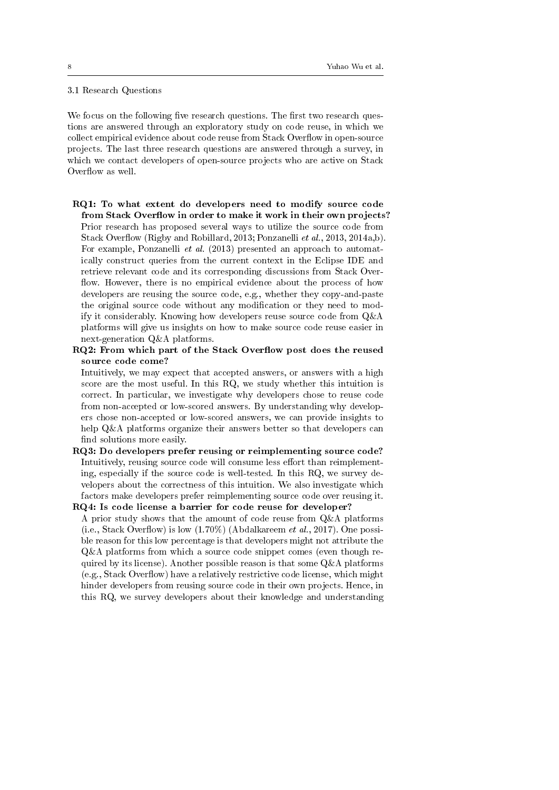### <span id="page-7-0"></span>3.1 Research Questions

We focus on the following five research questions. The first two research questions are answered through an exploratory study on code reuse, in which we collect empirical evidence about code reuse from Stack Overflow in open-source projects. The last three research questions are answered through a survey, in which we contact developers of open-source projects who are active on Stack Overflow as well.

- RQ1: To what extent do developers need to modify source code from Stack Overflow in order to make it work in their own projects? Prior research has proposed several ways to utilize the source code from Stack Overflow [\(Rigby and Robillard, 2013;](#page-36-4) [Ponzanelli](#page-35-3) et al., [2013,](#page-35-3) [2014a,](#page-35-0)[b\)](#page-36-1). For example, [Ponzanelli](#page-35-3) et al. [\(2013\)](#page-35-3) presented an approach to automatically construct queries from the current context in the Eclipse IDE and retrieve relevant code and its corresponding discussions from Stack Over flow. However, there is no empirical evidence about the process of how developers are reusing the source code, e.g., whether they copy-and-paste the original source code without any modification or they need to modify it considerably. Knowing how developers reuse source code from Q&A platforms will give us insights on how to make source code reuse easier in next-generation Q&A platforms.
- RQ2: From which part of the Stack Overflow post does the reused source code come?

Intuitively, we may expect that accepted answers, or answers with a high score are the most useful. In this RQ, we study whether this intuition is correct. In particular, we investigate why developers chose to reuse code from non-accepted or low-scored answers. By understanding why developers chose non-accepted or low-scored answers, we can provide insights to help Q&A platforms organize their answers better so that developers can find solutions more easily.

RQ3: Do developers prefer reusing or reimplementing source code? Intuitively, reusing source code will consume less effort than reimplementing, especially if the source code is well-tested. In this RQ, we survey developers about the correctness of this intuition. We also investigate which factors make developers prefer reimplementing source code over reusing it. RQ4: Is code license a barrier for code reuse for developer?

A prior study shows that the amount of code reuse from Q&A platforms (i.e., Stack Overflow) is low  $(1.70\%)$  [\(Abdalkareem](#page-33-2) *et al.*, [2017\)](#page-33-2). One possible reason for this low percentage is that developers might not attribute the Q&A platforms from which a source code snippet comes (even though required by its license). Another possible reason is that some Q&A platforms  $(e.g., Stack Overflow)$  have a relatively restrictive code license, which might hinder developers from reusing source code in their own projects. Hence, in this RQ, we survey developers about their knowledge and understanding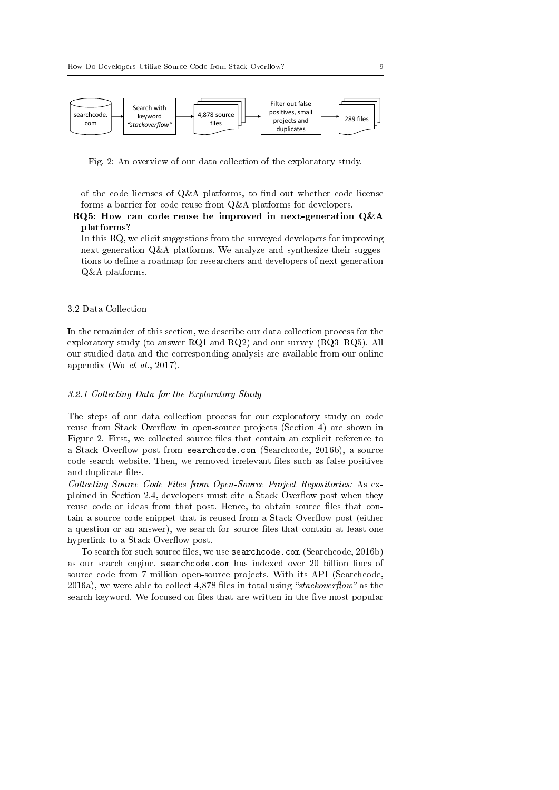<span id="page-8-0"></span>

Fig. 2: An overview of our data collection of the exploratory study.

of the code licenses of  $Q\&A$  platforms, to find out whether code license forms a barrier for code reuse from Q&A platforms for developers.

## RQ5: How can code reuse be improved in next-generation Q&A platforms?

In this RQ, we elicit suggestions from the surveyed developers for improving next-generation Q&A platforms. We analyze and synthesize their suggestions to define a roadmap for researchers and developers of next-generation Q&A platforms.

### 3.2 Data Collection

In the remainder of this section, we describe our data collection process for the exploratory study (to answer RQ1 and RQ2) and our survey (RQ3-RQ5). All our studied data and the corresponding analysis are available from our online appendix (Wu [et al., 2017\)](#page-38-2).

### 3.2.1 Collecting Data for the Exploratory Study

The steps of our data collection process for our exploratory study on code reuse from Stack Overflow in open-source projects (Section [4\)](#page-10-0) are shown in Figure [2.](#page-8-0) First, we collected source files that contain an explicit reference to a Stack Overflow post from searchcode.com [\(Searchcode, 2016b\)](#page-36-5), a source code search website. Then, we removed irrelevant files such as false positives and duplicate files.

Collecting Source Code Files from Open-Source Project Repositories: As ex-plained in Section [2.4,](#page-6-2) developers must cite a Stack Overflow post when they reuse code or ideas from that post. Hence, to obtain source files that contain a source code snippet that is reused from a Stack Overflow post (either a question or an answer), we search for source files that contain at least one hyperlink to a Stack Overflow post.

To search for such source files, we use searchcode.com [\(Searchcode, 2016b\)](#page-36-5) as our search engine. searchcode.com has indexed over 20 billion lines of source code from 7 million open-source projects. With its API [\(Searchcode,](#page-36-6) [2016a\)](#page-36-6), we were able to collect 4,878 files in total using "stackoverflow" as the search keyword. We focused on files that are written in the five most popular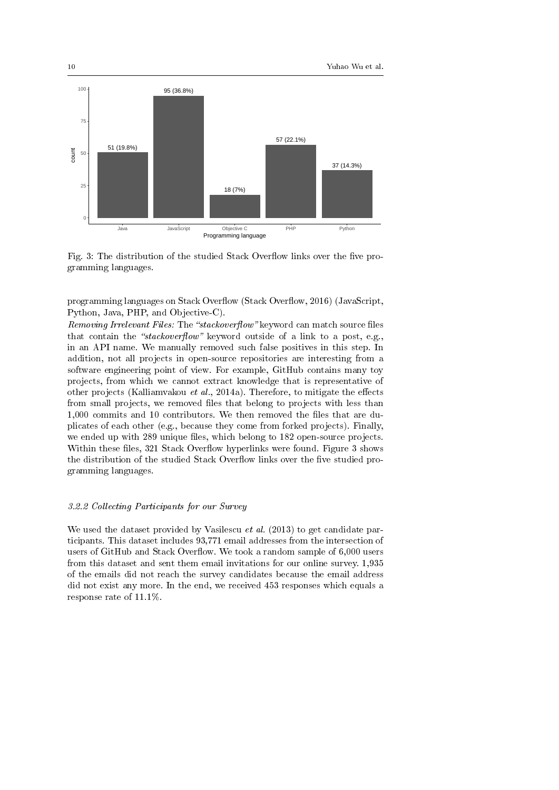<span id="page-9-0"></span>



programming languages on Stack Overflow (Stack Overflow, 2016) (JavaScript, Python, Java, PHP, and Objective-C).

 $Removing\;Irrelevant\;Files: The\; "stackoverflow"$  keyword can match source files that contain the "stackoverflow" keyword outside of a link to a post, e.g., in an API name. We manually removed such false positives in this step. In addition, not all projects in open-source repositories are interesting from a software engineering point of view. For example, GitHub contains many toy projects, from which we cannot extract knowledge that is representative of other projects [\(Kalliamvakou](#page-35-4) *et al.*, [2014a\)](#page-35-4). Therefore, to mitigate the effects from small projects, we removed files that belong to projects with less than  $1,000$  commits and 10 contributors. We then removed the files that are duplicates of each other (e.g., because they come from forked projects). Finally, we ended up with 289 unique files, which belong to 182 open-source projects. Within these files, [3](#page-9-0)21 Stack Overflow hyperlinks were found. Figure 3 shows the distribution of the studied Stack Overflow links over the five studied programming languages.

#### <span id="page-9-1"></span>3.2.2 Collecting Participants for our Survey

We used the dataset provided by [Vasilescu](#page-37-8) *et al.* [\(2013\)](#page-37-8) to get candidate participants. This dataset includes 93,771 email addresses from the intersection of users of GitHub and Stack Overflow. We took a random sample of 6,000 users from this dataset and sent them email invitations for our online survey. 1,935 of the emails did not reach the survey candidates because the email address did not exist any more. In the end, we received 453 responses which equals a response rate of 11.1%.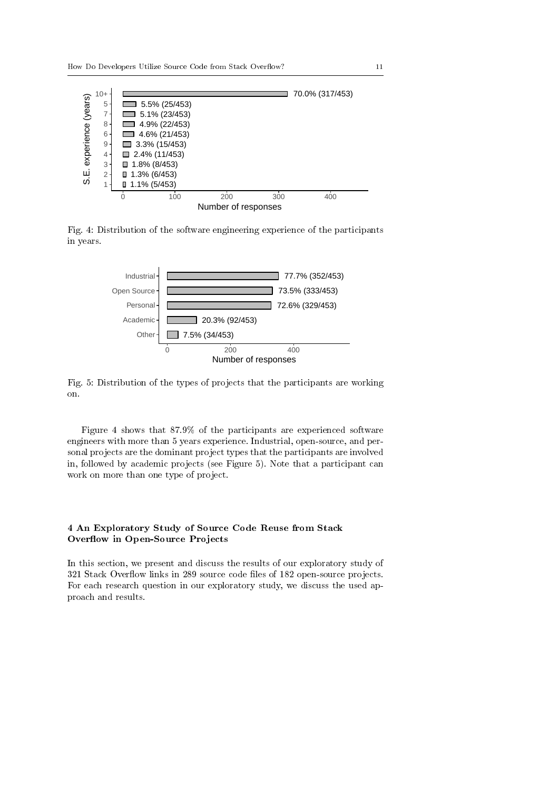<span id="page-10-1"></span>

|                    | $10+$ |                             |     |                     |     | 70.0% (317/453) |  |  |  |  |
|--------------------|-------|-----------------------------|-----|---------------------|-----|-----------------|--|--|--|--|
| experience (years) | 5     | $\Box$ 5.5% (25/453)        |     |                     |     |                 |  |  |  |  |
|                    | 7     | $\Box$ 5.1% (23/453)        |     |                     |     |                 |  |  |  |  |
|                    | 8     | $\Box$ 4.9% (22/453)        |     |                     |     |                 |  |  |  |  |
|                    | 6     | $\Box$ 4.6% (21/453)        |     |                     |     |                 |  |  |  |  |
|                    | 9     | $\Box$ 3.3% (15/453)        |     |                     |     |                 |  |  |  |  |
|                    | $4$ - | $\Box$ 2.4% (11/453)        |     |                     |     |                 |  |  |  |  |
|                    | 3.    | $\Box$ 1.8% (8/453)         |     |                     |     |                 |  |  |  |  |
| نیا<br>زه          | $2 -$ | $\blacksquare$ 1.3% (6/453) |     |                     |     |                 |  |  |  |  |
|                    | 1     | $\blacksquare$ 1.1% (5/453) |     |                     |     |                 |  |  |  |  |
|                    |       |                             | 100 | 200                 | 300 | 400             |  |  |  |  |
|                    |       |                             |     | Number of responses |     |                 |  |  |  |  |

Fig. 4: Distribution of the software engineering experience of the participants in years.

<span id="page-10-2"></span>

Fig. 5: Distribution of the types of projects that the participants are working on.

Figure [4](#page-10-1) shows that 87.9% of the participants are experienced software engineers with more than 5 years experience. Industrial, open-source, and personal projects are the dominant project types that the participants are involved in, followed by academic projects (see Figure [5\)](#page-10-2). Note that a participant can work on more than one type of project.

# <span id="page-10-0"></span>4 An Exploratory Study of Source Code Reuse from Stack Overflow in Open-Source Projects

In this section, we present and discuss the results of our exploratory study of 321 Stack Overflow links in 289 source code files of 182 open-source projects. For each research question in our exploratory study, we discuss the used approach and results.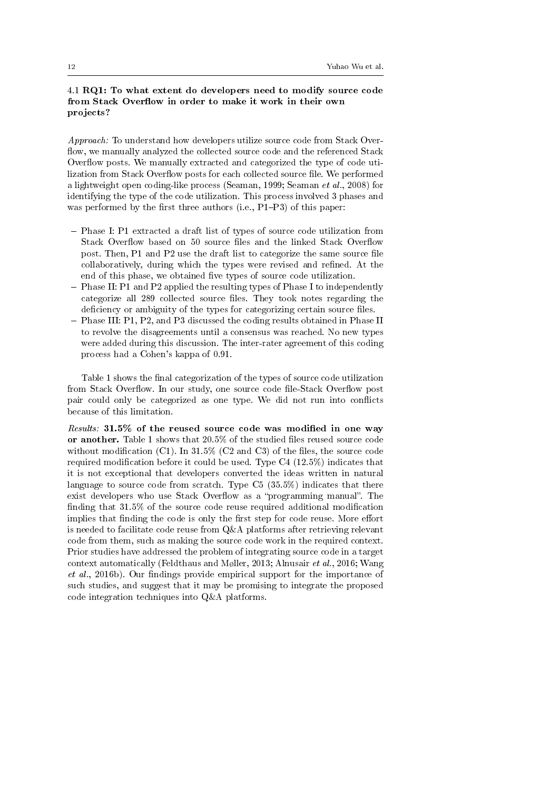# 4.1 RQ1: To what extent do developers need to modify source code from Stack Overflow in order to make it work in their own projects?

Approach: To understand how developers utilize source code from Stack Over flow, we manually analyzed the collected source code and the referenced Stack Overflow posts. We manually extracted and categorized the type of code utilization from Stack Overflow posts for each collected source file. We performed a lightweight open coding-like process [\(Seaman, 1999;](#page-36-8) [Seaman](#page-36-9) et al., [2008\)](#page-36-9) for identifying the type of the code utilization. This process involved 3 phases and was performed by the first three authors (i.e.,  $P1-P3$ ) of this paper:

- Phase I: P1 extracted a draft list of types of source code utilization from Stack Overflow based on 50 source files and the linked Stack Overflow post. Then, P1 and P2 use the draft list to categorize the same source file collaboratively, during which the types were revised and refined. At the end of this phase, we obtained five types of source code utilization.
- Phase II: P1 and P2 applied the resulting types of Phase I to independently categorize all 289 collected source files. They took notes regarding the deficiency or ambiguity of the types for categorizing certain source files.
- Phase III: P1, P2, and P3 discussed the coding results obtained in Phase II to revolve the disagreements until a consensus was reached. No new types were added during this discussion. The inter-rater agreement of this coding process had a Cohen's kappa of 0.91.

Table [1](#page-12-0) shows the final categorization of the types of source code utilization from Stack Overflow. In our study, one source code file-Stack Overflow post pair could only be categorized as one type. We did not run into conflicts because of this limitation.

 $Results: 31.5\%$  of the reused source code was modified in one way or another. Table [1](#page-12-0) shows that  $20.5\%$  of the studied files reused source code without modification (C1). In  $31.5\%$  (C2 and C3) of the files, the source code required modification before it could be used. Type C4  $(12.5\%)$  indicates that it is not exceptional that developers converted the ideas written in natural language to source code from scratch. Type C5  $(35.5%)$  indicates that there exist developers who use Stack Overflow as a "programming manual". The finding that  $31.5\%$  of the source code reuse required additional modification implies that finding the code is only the first step for code reuse. More effort is needed to facilitate code reuse from Q&A platforms after retrieving relevant code from them, such as making the source code work in the required context. Prior studies have addressed the problem of integrating source code in a target context automatically [\(Feldthaus and Møller, 2013;](#page-34-4) [Alnusair](#page-33-1) et al., [2016;](#page-33-1) [Wang](#page-37-3)  $et \ al., 2016b$ ). Our findings provide empirical support for the importance of such studies, and suggest that it may be promising to integrate the proposed code integration techniques into Q&A platforms.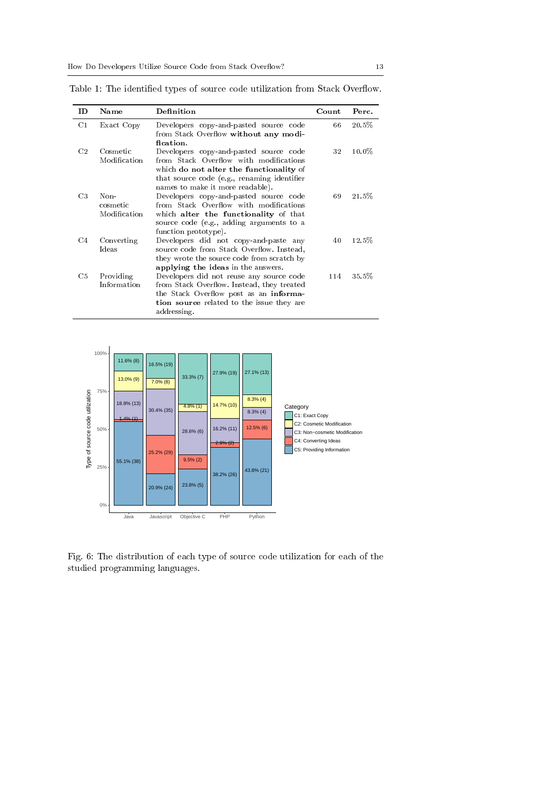| ID             | Name                             | Definition                                                                                                                                                                                                     | Count | Perc. |
|----------------|----------------------------------|----------------------------------------------------------------------------------------------------------------------------------------------------------------------------------------------------------------|-------|-------|
| C <sub>1</sub> | Exact Copy                       | Developers copy-and-pasted source code<br>from Stack Overflow without any modi-<br>fication.                                                                                                                   | 66    | 20.5% |
| C <sub>2</sub> | Cosmetic<br>Modification         | Developers copy-and-pasted source code<br>from Stack Overflow with modifications<br>which do not alter the functionality of<br>that source code (e.g., renaming identifier<br>names to make it more readable). | 32    | 10.0% |
| C3             | Non-<br>cosmetic<br>Modification | Developers copy-and-pasted source code<br>from Stack Overflow with modifications<br>which alter the functionality of that<br>source code (e.g., adding arguments to a<br>function prototype).                  | 69    | 21.5% |
| C4             | Converting<br>Ideas              | Developers did not copy-and-paste any<br>source code from Stack Overflow. Instead,<br>they wrote the source code from scratch by<br>applying the ideas in the answers.                                         | 40    | 12.5% |
| C5             | Providing<br>Information         | Developers did not reuse any source code<br>from Stack Overflow. Instead, they treated<br>the Stack Overflow post as an informa-<br>tion source related to the issue they are<br>addressing.                   | 114   | 35.5% |

<span id="page-12-0"></span>Table 1: The identified types of source code utilization from Stack Overflow.

<span id="page-12-1"></span>

Fig. 6: The distribution of each type of source code utilization for each of the studied programming languages.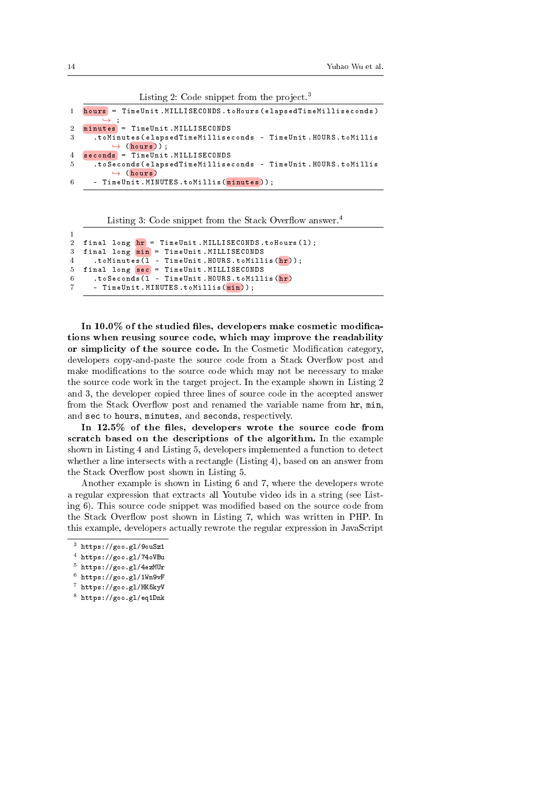Listing 2: Code snippet from the project.<sup>[3](#page-13-0)</sup>

```
1 hours = TimeUnit . MILLISECONDS . toHours ( elapsedTimeMilliseconds )
         ,→ ;
2 minutes = TimeUnit.MILLISECONDS<br>3 .toMinutes (elapsedTimeMillise
      3 . toMinutes ( elapsedTimeMilliseconds - TimeUnit . HOURS . toMillis
           \leftrightarrow (hours));
4 seconds = TimeUnit . MILLISECONDS
5 . toSeconds ( elapsedTimeMilliseconds - TimeUnit . HOURS . toMillis
           \leftrightarrow (hours)
6 - TimeUnit.MINUTES.toMillis (minutes));
```
Listing 3: Code snippet from the Stack Overflow answer.<sup>[4](#page-13-1)</sup>

```
\frac{1}{2}2 final long <mark>hr</mark> = TimeUnit.MILLISECONDS.toHours(1);
3 final long min = TimeUnit . MILLISECONDS
4 . toMinutes (l - TimeUnit . HOURS . toMillis (hr));
5 final long sec = TimeUnit . MILLISECONDS
6 . toSeconds (l - TimeUnit . HOURS . toMillis (hr)
     - TimeUnit. MINUTES. toMillis (min));
```
In  $10.0\%$  of the studied files, developers make cosmetic modifications when reusing source code, which may improve the readability or simplicity of the source code. In the Cosmetic Modification category, developers copy-and-paste the source code from a Stack Overflow post and make modifications to the source code which may not be necessary to make the source code work in the target project. In the example shown in Listing [2](#page-13-2) and [3,](#page-13-3) the developer copied three lines of source code in the accepted answer from the Stack Overflow post and renamed the variable name from hr, min, and sec to hours, minutes, and seconds, respectively.

In  $12.5\%$  of the files, developers wrote the source code from scratch based on the descriptions of the algorithm. In the example shown in Listing [4](#page-14-0) and Listing [5,](#page-15-0) developers implemented a function to detect whether a line intersects with a rectangle (Listing [4\)](#page-14-0), based on an answer from the Stack Overflow post shown in Listing [5.](#page-15-0)

Another example is shown in Listing [6](#page-15-1) and [7,](#page-16-0) where the developers wrote a regular expression that extracts all Youtube video ids in a string (see List-ing [6\)](#page-15-1). This source code snippet was modified based on the source code from the Stack Overflow post shown in Listing [7,](#page-16-0) which was written in PHP. In this example, developers actually rewrote the regular expression in JavaScript

- <span id="page-13-1"></span><sup>4</sup> <https://goo.gl/74oVBu>
- <span id="page-13-4"></span><sup>5</sup> <https://goo.gl/4ezMUr>
- <span id="page-13-5"></span> $6$  <https://goo.gl/1Wn9vF>
- <span id="page-13-6"></span><sup>7</sup> <https://goo.gl/HK5kyV>
- <span id="page-13-7"></span><sup>8</sup> <https://goo.gl/eq1Dnk>

<span id="page-13-0"></span><sup>3</sup> <https://goo.gl/9ouSz1>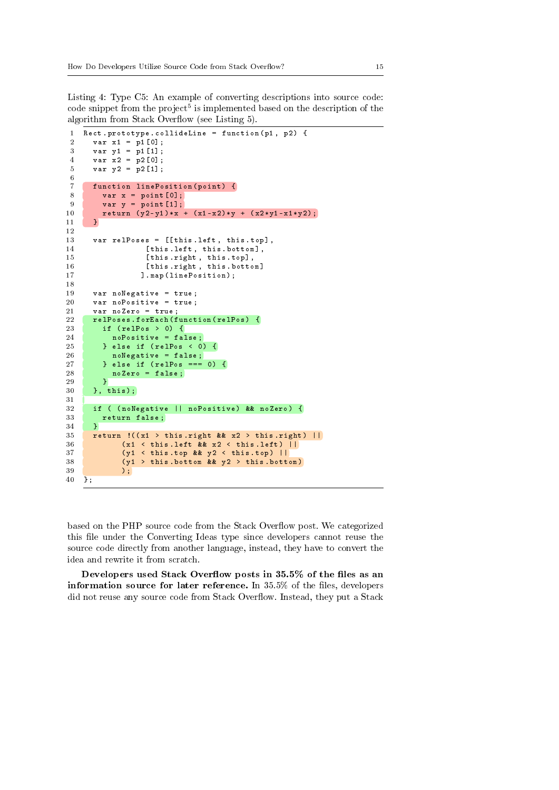<span id="page-14-0"></span>Listing 4: Type C5: An example of converting descriptions into source code: code snippet from the project<sup>[5](#page-13-4)</sup> is implemented based on the description of the algorithm from Stack Overflow (see Listing  $5$ ).

```
1 Rect. prototype. collideLine = function (p1, p2) {<br>2 var x1 = p1[0];
 2 var x1 = p1[0];<br>3 var v1 = p1[1]:
 3 var y1 = p1[1];<br>
4 var x2 = p2[0];
       var x2 = p2[0];5 var y2 = p2[1];6
 7 function linePosition (point) {<br>8 var x = point [0]:var x = point [0];9 var y = point [1];<br>10 return (y2 - y1) * xreturn (y2 - y1 )* x + (x1 - x2 )* y + (x2 * y1 - x1 * y2);
11 }
12
13 var relPoses = [[this.left, this.top],
14 [this.left, this.bottom],
15 [this.right, this.top],
16 [this right, this bottom]
17 ]. map (linePosition);
18
19 var noNegative = true;<br>20 var noPositive = true;
       var noPositive = true;
21 var noZero = true ;
22 relPoses.forEach (function (relPos) {
\begin{array}{ccc} 23 & \text{if (relPos > 0) } \{24 & \text{noPositive = fa} \end{array}noPositive = false:
25 } else if (\text{relPos} \lt 0) {<br>26 <br>noNegative = false;
            noNegative = false;
27 } else if ( relPos === 0) {
            noZero = false;29 }
30 }, this ) ;
\frac{31}{32}if ( (noNegative || noPositive) && noZero) {
33 return false;
\begin{array}{|c|c|c|}\n \hline\n 34 & \hline\n 35 & \hline\n \end{array}return !((x1 > this.right & x2 > this.right) ||)36 (x1 \lt this.left \& x2 \lt this.left) ||<br>37 (y1 \lt this.toD \& x2 \lt this.toD) ||(y1 \leq this.top && y2 \leq this.top) ||
38 (y1 > this.bottom & y2 > this.bottom)<br>39 );\begin{array}{c} 39 \\ 40 \end{array} };
    \overline{1}
```
based on the PHP source code from the Stack Overflow post. We categorized this file under the Converting Ideas type since developers cannot reuse the source code directly from another language, instead, they have to convert the idea and rewrite it from scratch.

Developers used Stack Overflow posts in  $35.5\%$  of the files as an information source for later reference. In  $35.5\%$  of the files, developers did not reuse any source code from Stack Overflow. Instead, they put a Stack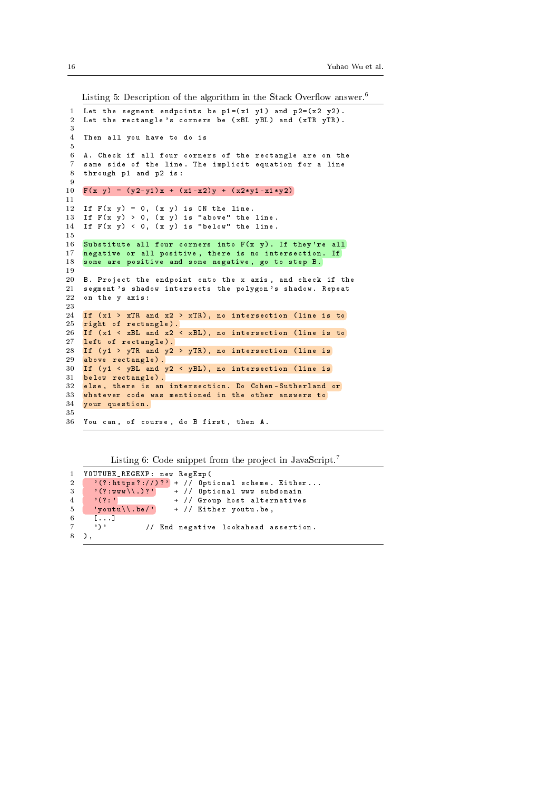```
6</sup>
```

```
1 Let the segment endpoints be p1 = (x1 y1) and p2 = (x2 y2).
 2 Let the rectangle's corners be (xBL yBL) and (xTR yTR).
 \frac{3}{4}Then all you have to do is
 5
 6 A. Check if all four corners of the rectangle are on the
 7 same side of the line . The implicit equation for a line
8 through p1 and p2 is :
 9
10 F(x y) = (y2 - y1)x + (x1 - x2)y + (x2 * y1 - x1 * y2)\begin{array}{c} 11 \\ 12 \end{array}If F(x, y) = 0, (x, y) is ON the line.
13 If F(x, y) > 0, (x, y) is "above" the line.
14 If F(x, y) < 0, (x, y) is "below" the line.
15
16 Substitute all four corners into F(x, y). If they're all 17 negative or all positive, there is no intersection. If
    negative or all positive, there is no intersection. If
18 some are positive and some negative, go to step B.
19
20 B. Project the endpoint onto the x axis , and check if the
21 segment's shadow intersects the polygon's shadow. Repeat<br>22 on the varis:
   on the y axis:
23
24 If (x1 > xTR and x2 > xTR), no intersection (line is to <br>25 right of rectangle).
    right of rectangle).
26 If (x1 < xBL and x2 < xBL), no intersection (line is to
27 left of rectangle).
28 If (y1 > yTR and y2 > yTR), no intersection (line is
29 above rectangle).<br>30 If (y1 \lt yBL and
30 If (y1 \leq yBL and y2 \leq yBL), no intersection (line is 31 helow rectangle)
    below rectangle).
32 else, there is an intersection. Do Cohen-Sutherland or<br>33 whatever code was mentioned in the other answers to
33 whatever code was mentioned in the other answers to 34 vour question.
    your question.
35
36 You can, of course, do B first, then A.
```
Listing 6: Code snippet from the project in JavaScript.<sup>[7](#page-13-6)</sup>

```
1 YOUTUBE_REGEXP: new RegExp (
2 \qquad '(?:https?://)?' + // Optional scheme. Either ...
3 '(?: www \\.) ? ' + // Optional www subdomain
4 \qquad '(?:' \qquad \qquad + // Group host alternatives
5 ' 'youtu \\.be/' + // Either youtu.be,
\begin{array}{ccc} 6 & & \text{L} \ldots \\ 7 & & \text{''} \end{array}// End negative lookahead assertion.
8 ) ,
```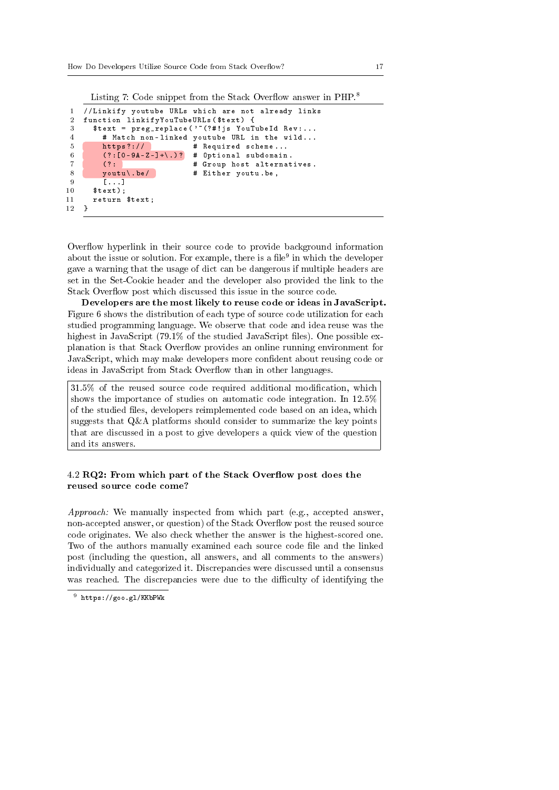Listing 7: Code snippet from the Stack Overflow answer in PHP.<sup>[8](#page-13-7)</sup>

```
1 // Linkify youtube URLs which are not already links
 2 function linkifyYouTubeURLs ($text) {<br>3 $text = preg replace ('"(?#!is YouT
 3 $text = preg-replace('"(? #!)s YouTubeld Rev: ...<br>4 # Match non-linked voutube URL in the wild...
             # Match non-linked youtube URL in the wild...
 \begin{array}{c|c} 5 & \text{https://} \\ 6 & \text{ (?:[0-9A-Z-J+\\ \end{array})? \begin{array}{c} \text{# Required scheme.} \\ \text{4 Optional subdomain.} \end{array}6 (?:[0 - 9A - Z - J + \ldots] # Optional subdomain.
 7 (?: \overline{ } 1 \overline{ } 1 \overline{ } 1 \overline{ } 5 \overline{ } 4 \overline{ } Group host alternatives.
 8 youtu\.be/ # Either youtu.be,<br>9 [...]
             1.110 $text);<br>11 return
          return $text;
12 }
```
Overflow hyperlink in their source code to provide background information about the issue or solution. For example, there is a file<sup>[9](#page-16-1)</sup> in which the developer gave a warning that the usage of dict can be dangerous if multiple headers are set in the Set-Cookie header and the developer also provided the link to the Stack Overflow post which discussed this issue in the source code.

Developers are the most likely to reuse code or ideas in JavaScript. Figure [6](#page-12-1) shows the distribution of each type of source code utilization for each studied programming language. We observe that code and idea reuse was the highest in JavaScript  $(79.1\%$  of the studied JavaScript files). One possible explanation is that Stack Overflow provides an online running environment for JavaScript, which may make developers more confident about reusing code or ideas in JavaScript from Stack Overflow than in other languages.

31.5% of the reused source code required additional modification, which shows the importance of studies on automatic code integration. In 12.5% of the studied files, developers reimplemented code based on an idea, which suggests that Q&A platforms should consider to summarize the key points that are discussed in a post to give developers a quick view of the question and its answers.

# $4.2$  RQ2: From which part of the Stack Overflow post does the reused source code come?

Approach: We manually inspected from which part (e.g., accepted answer, non-accepted answer, or question) of the Stack Overflow post the reused source code originates. We also check whether the answer is the highest-scored one. Two of the authors manually examined each source code file and the linked post (including the question, all answers, and all comments to the answers) individually and categorized it. Discrepancies were discussed until a consensus was reached. The discrepancies were due to the difficulty of identifying the

<span id="page-16-1"></span><sup>9</sup> <https://goo.gl/KKbPWk>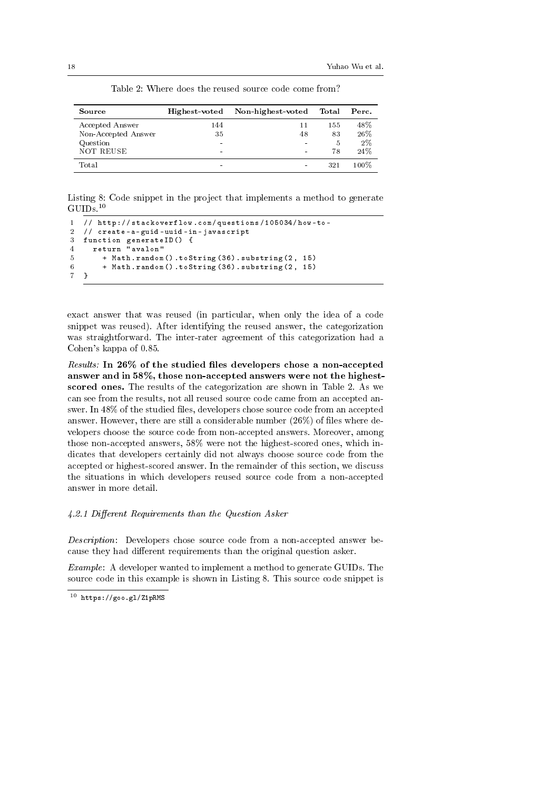<span id="page-17-1"></span>

| Source              | Highest voted | Non-highest-voted        | Total | Perc. |
|---------------------|---------------|--------------------------|-------|-------|
| Accepted Answer     | 144           | 11                       | 155   | 48\%  |
| Non-Accepted Answer | 35            | 48                       | 83    | 26%   |
| Question            | ۰             | $\overline{\phantom{a}}$ | 5     | $2\%$ |
| NOT REUSE           | ۰             |                          | 78    | 24%   |
| Total               |               |                          | 321   | 100%  |

Table 2: Where does the reused source code come from?

<span id="page-17-2"></span>Listing 8: Code snippet in the project that implements a method to generate GUIDs.[10](#page-17-0)

```
1 // http://stackoverflow.com/questions/105034/how-to-<br>2 // create-a-guid-uuid-in-iavascript
2 // create -a - guid - uuid -in - javascript
   function generateID () {
4 return " avalon "
5 + Math . random () . toString (36) . substring (2 , 15)
6 + \text{Math.random}() . to String (36) . substring (2, 15)7 }
```
exact answer that was reused (in particular, when only the idea of a code snippet was reused). After identifying the reused answer, the categorization was straightforward. The inter-rater agreement of this categorization had a Cohen's kappa of 0.85.

 $Results:$  In  $26\%$  of the studied files developers chose a non-accepted answer and in 58%, those non-accepted answers were not the highestscored ones. The results of the categorization are shown in Table [2.](#page-17-1) As we can see from the results, not all reused source code came from an accepted answer. In 48% of the studied files, developers chose source code from an accepted answer. However, there are still a considerable number  $(26\%)$  of files where developers choose the source code from non-accepted answers. Moreover, among those non-accepted answers, 58% were not the highest-scored ones, which indicates that developers certainly did not always choose source code from the accepted or highest-scored answer. In the remainder of this section, we discuss the situations in which developers reused source code from a non-accepted answer in more detail.

# $4.2.1$  Different Requirements than the Question Asker

Description: Developers chose source code from a non-accepted answer because they had different requirements than the original question asker.

Example: A developer wanted to implement a method to generate GUIDs. The source code in this example is shown in Listing [8.](#page-17-2) This source code snippet is

<span id="page-17-0"></span><sup>10</sup> <https://goo.gl/Z1pRMS>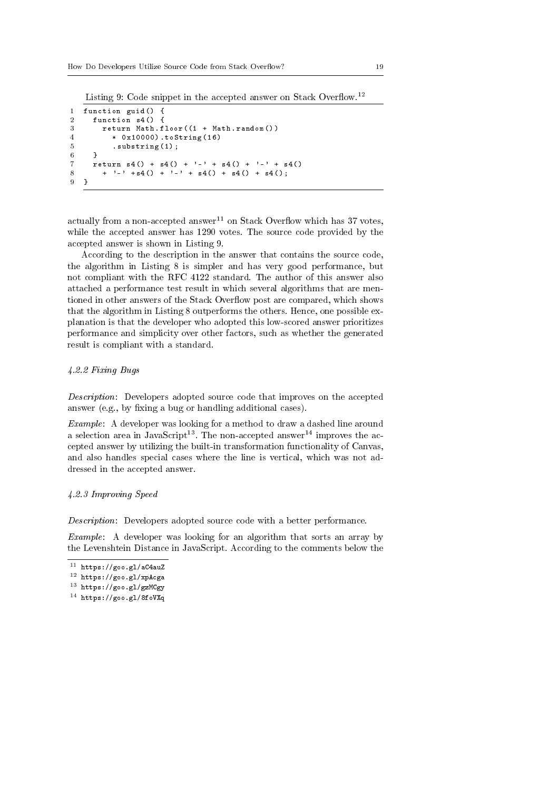<span id="page-18-2"></span>Listing 9: Code snippet in the accepted answer on Stack Overflow.<sup>[12](#page-18-0)</sup>

```
1 function guid () {<br>2 function s4() {
2 function s4() {<br>3 return Math.f
3 return Math . floor ((1 + \text{Math.random}())<br>
4 * 0 \times 10000) . to String (16)
                4 * 0 x10000 ). toString (16)
\begin{array}{c} 5 \\ 6 \end{array} . substring (1);
\begin{array}{ccc} 6 & & \rightarrow \\ 7 & & \text{r} \end{array}return s4() + s4() + '-' + s4() + '-' + s4()8 + '-' + s4() + '-' + s4() + s4() + s4();<br>9 }
    9 }
```
actually from a non-accepted answer<sup>[11](#page-18-1)</sup> on Stack Overflow which has 37 votes, while the accepted answer has 1290 votes. The source code provided by the accepted answer is shown in Listing [9.](#page-18-2)

According to the description in the answer that contains the source code, the algorithm in Listing [8](#page-17-2) is simpler and has very good performance, but not compliant with the RFC 4122 standard. The author of this answer also attached a performance test result in which several algorithms that are mentioned in other answers of the Stack Overflow post are compared, which shows that the algorithm in Listing [8](#page-17-2) outperforms the others. Hence, one possible explanation is that the developer who adopted this low-scored answer prioritizes performance and simplicity over other factors, such as whether the generated result is compliant with a standard.

#### 4.2.2 Fixing Bugs

Description: Developers adopted source code that improves on the accepted answer (e.g., by fixing a bug or handling additional cases).

Example: A developer was looking for a method to draw a dashed line around a selection area in JavaScript<sup>[13](#page-18-3)</sup>. The non-accepted answer<sup>[14](#page-18-4)</sup> improves the accepted answer by utilizing the built-in transformation functionality of Canvas, and also handles special cases where the line is vertical, which was not addressed in the accepted answer.

#### 4.2.3 Improving Speed

Description: Developers adopted source code with a better performance.

Example: A developer was looking for an algorithm that sorts an array by the Levenshtein Distance in JavaScript. According to the comments below the

<span id="page-18-1"></span> $11$  <https://goo.gl/aC4auZ>

<span id="page-18-0"></span><sup>12</sup> <https://goo.gl/xpAcga>

<span id="page-18-3"></span><sup>13</sup> <https://goo.gl/gzMCgy>

<span id="page-18-4"></span><sup>14</sup> <https://goo.gl/8foVXq>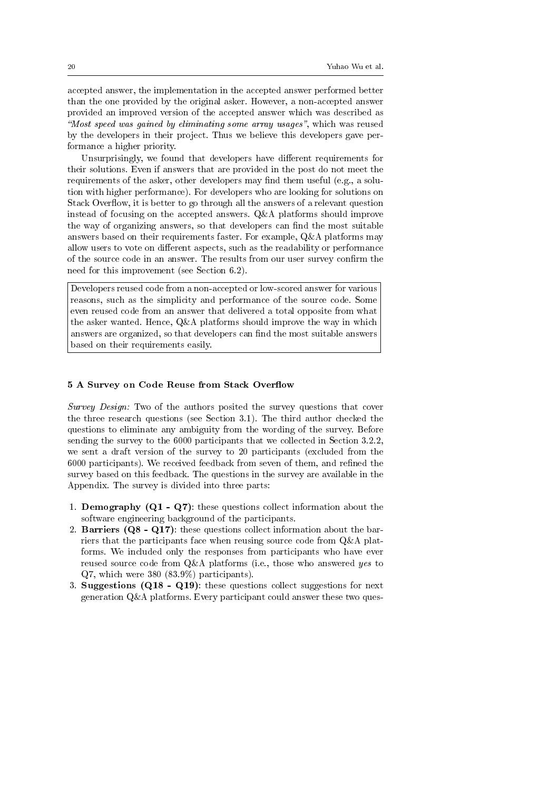accepted answer, the implementation in the accepted answer performed better than the one provided by the original asker. However, a non-accepted answer provided an improved version of the accepted answer which was described as "Most speed was gained by eliminating some array usages", which was reused by the developers in their project. Thus we believe this developers gave performance a higher priority.

Unsurprisingly, we found that developers have different requirements for their solutions. Even if answers that are provided in the post do not meet the requirements of the asker, other developers may find them useful (e.g., a solution with higher performance). For developers who are looking for solutions on Stack Overflow, it is better to go through all the answers of a relevant question instead of focusing on the accepted answers. Q&A platforms should improve the way of organizing answers, so that developers can find the most suitable answers based on their requirements faster. For example, Q&A platforms may allow users to vote on different aspects, such as the readability or performance of the source code in an answer. The results from our user survey confirm the need for this improvement (see Section [6.2\)](#page-26-0).

Developers reused code from a non-accepted or low-scored answer for various reasons, such as the simplicity and performance of the source code. Some even reused code from an answer that delivered a total opposite from what the asker wanted. Hence, Q&A platforms should improve the way in which answers are organized, so that developers can find the most suitable answers based on their requirements easily.

# <span id="page-19-0"></span>5 A Survey on Code Reuse from Stack Overflow

Survey Design: Two of the authors posited the survey questions that cover the three research questions (see Section [3.1\)](#page-7-0). The third author checked the questions to eliminate any ambiguity from the wording of the survey. Before sending the survey to the 6000 participants that we collected in Section [3.2.2,](#page-9-1) we sent a draft version of the survey to 20 participants (excluded from the 6000 participants). We received feedback from seven of them, and refined the survey based on this feedback. The questions in the survey are available in the Appendix. The survey is divided into three parts:

- 1. Demography (Q1 Q7): these questions collect information about the software engineering background of the participants.
- 2. Barriers (Q8 Q17): these questions collect information about the barriers that the participants face when reusing source code from Q&A platforms. We included only the responses from participants who have ever reused source code from Q&A platforms (i.e., those who answered *yes* to Q7, which were 380 (83.9%) participants).
- 3. Suggestions (Q18 Q19): these questions collect suggestions for next generation Q&A platforms. Every participant could answer these two ques-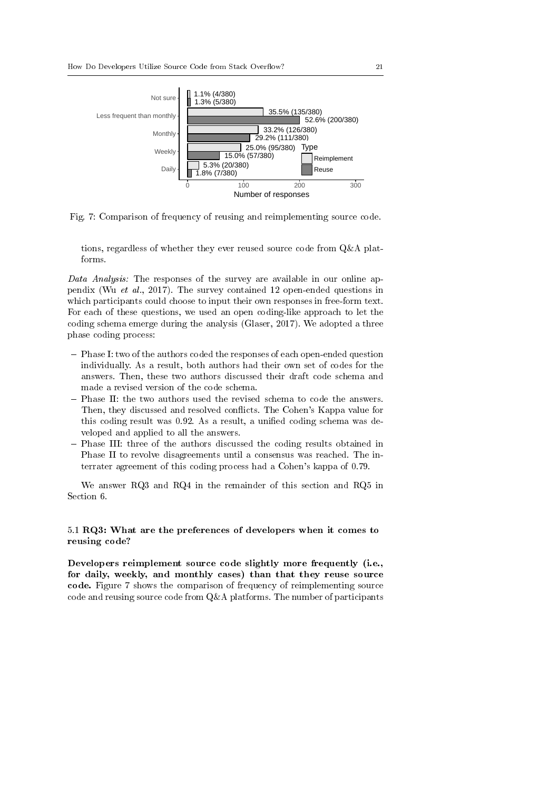<span id="page-20-0"></span>

Fig. 7: Comparison of frequency of reusing and reimplementing source code.

tions, regardless of whether they ever reused source code from Q&A platforms.

Data Analysis: The responses of the survey are available in our online appendix (Wu [et al., 2017\)](#page-38-2). The survey contained 12 open-ended questions in which participants could choose to input their own responses in free-form text. For each of these questions, we used an open coding-like approach to let the coding schema emerge during the analysis [\(Glaser, 2017\)](#page-34-7). We adopted a three phase coding process:

- Phase I: two of the authors coded the responses of each open-ended question individually. As a result, both authors had their own set of codes for the answers. Then, these two authors discussed their draft code schema and made a revised version of the code schema.
- Phase II: the two authors used the revised schema to code the answers. Then, they discussed and resolved conflicts. The Cohen's Kappa value for this coding result was 0.92. As a result, a unified coding schema was developed and applied to all the answers.
- Phase III: three of the authors discussed the coding results obtained in Phase II to revolve disagreements until a consensus was reached. The interrater agreement of this coding process had a Cohen's kappa of 0.79.

We answer RQ3 and RQ4 in the remainder of this section and RQ5 in Section [6.](#page-23-0)

# 5.1 RQ3: What are the preferences of developers when it comes to reusing code?

Developers reimplement source code slightly more frequently (i.e., for daily, weekly, and monthly cases) than that they reuse source code. Figure [7](#page-20-0) shows the comparison of frequency of reimplementing source code and reusing source code from Q&A platforms. The number of participants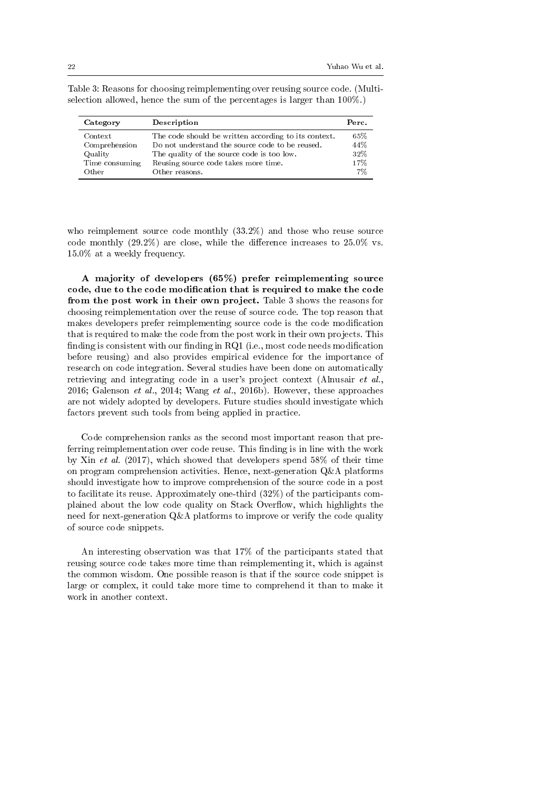| Category       | Description                                          | Perc. |
|----------------|------------------------------------------------------|-------|
| Context        | The code should be written according to its context. | 65%   |
| Comprehension  | Do not understand the source code to be reused.      | 44%   |
| Quality        | The quality of the source code is too low.           | 32%   |
| Time consuming | Reusing source code takes more time.                 | 17%   |
| Other          | Other reasons.                                       | 7%    |

<span id="page-21-0"></span>Table 3: Reasons for choosing reimplementing over reusing source code. (Multiselection allowed, hence the sum of the percentages is larger than 100%.)

who reimplement source code monthly (33.2%) and those who reuse source code monthly  $(29.2\%)$  are close, while the difference increases to  $25.0\%$  vs. 15.0% at a weekly frequency.

A majority of developers (65%) prefer reimplementing source code, due to the code modification that is required to make the code from the post work in their own project. Table [3](#page-21-0) shows the reasons for choosing reimplementation over the reuse of source code. The top reason that makes developers prefer reimplementing source code is the code modification that is required to make the code from the post work in their own projects. This finding is consistent with our finding in RQ1 (i.e., most code needs modification before reusing) and also provides empirical evidence for the importance of research on code integration. Several studies have been done on automatically retrieving and integrating code in a user's project context [\(Alnusair](#page-33-1) et al., [2016;](#page-33-1) [Galenson](#page-34-8) et al., [2014;](#page-34-8) [Wang](#page-37-3) et al., [2016b\)](#page-37-3). However, these approaches are not widely adopted by developers. Future studies should investigate which factors prevent such tools from being applied in practice.

Code comprehension ranks as the second most important reason that preferring reimplementation over code reuse. This finding is in line with the work by Xin *[et al.](#page-38-3)* [\(2017\)](#page-38-3), which showed that developers spend 58% of their time on program comprehension activities. Hence, next-generation Q&A platforms should investigate how to improve comprehension of the source code in a post to facilitate its reuse. Approximately one-third (32%) of the participants complained about the low code quality on Stack Overflow, which highlights the need for next-generation Q&A platforms to improve or verify the code quality of source code snippets.

An interesting observation was that 17% of the participants stated that reusing source code takes more time than reimplementing it, which is against the common wisdom. One possible reason is that if the source code snippet is large or complex, it could take more time to comprehend it than to make it work in another context.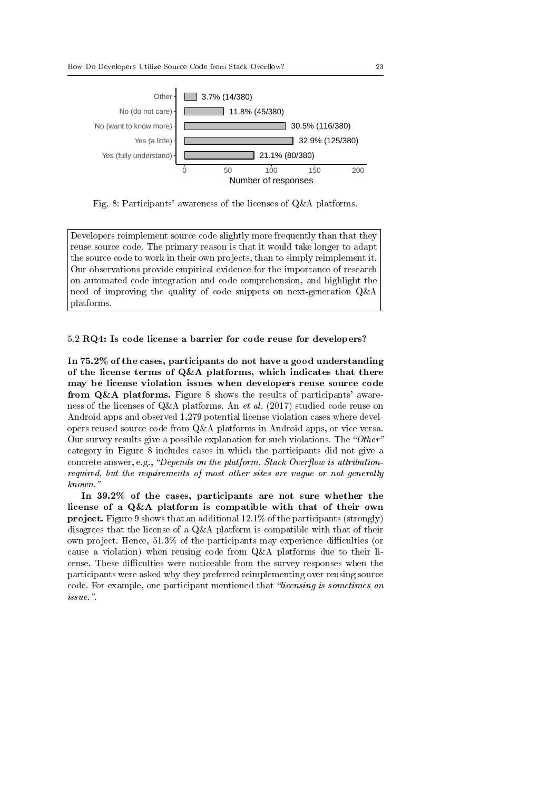<span id="page-22-0"></span>

Fig. 8: Participants' awareness of the licenses of Q&A platforms.

Developers reimplement source code slightly more frequently than that they reuse source code. The primary reason is that it would take longer to adapt the source code to work in their own projects, than to simply reimplement it. Our observations provide empirical evidence for the importance of research on automated code integration and code comprehension, and highlight the need of improving the quality of code snippets on next-generation Q&A platforms.

#### <span id="page-22-1"></span>5.2 RQ4: Is code license a barrier for code reuse for developers?

In 75.2% of the cases, participants do not have a good understanding of the license terms of Q&A platforms, which indicates that there may be license violation issues when developers reuse source code from Q&A platforms. Figure [8](#page-22-0) shows the results of participants' awareness of the licenses of Q&A platforms. An [et al.](#page-33-4) [\(2017\)](#page-33-4) studied code reuse on Android apps and observed 1,279 potential license violation cases where developers reused source code from Q&A platforms in Android apps, or vice versa. Our survey results give a possible explanation for such violations. The "Other" category in Figure [8](#page-22-0) includes cases in which the participants did not give a concrete answer, e.g., "Depends on the platform. Stack Overflow is attributionrequired, but the requirements of most other sites are vague or not generally known.

In 39.2% of the cases, participants are not sure whether the license of a Q&A platform is compatible with that of their own project. Figure [9](#page-23-1) shows that an additional 12.1% of the participants (strongly) disagrees that the license of a Q&A platform is compatible with that of their own project. Hence, 51.3% of the participants may experience difficulties (or cause a violation) when reusing code from Q&A platforms due to their license. These difficulties were noticeable from the survey responses when the participants were asked why they preferred reimplementing over reusing source code. For example, one participant mentioned that *dicensing is sometimes an*  $is sue.$ "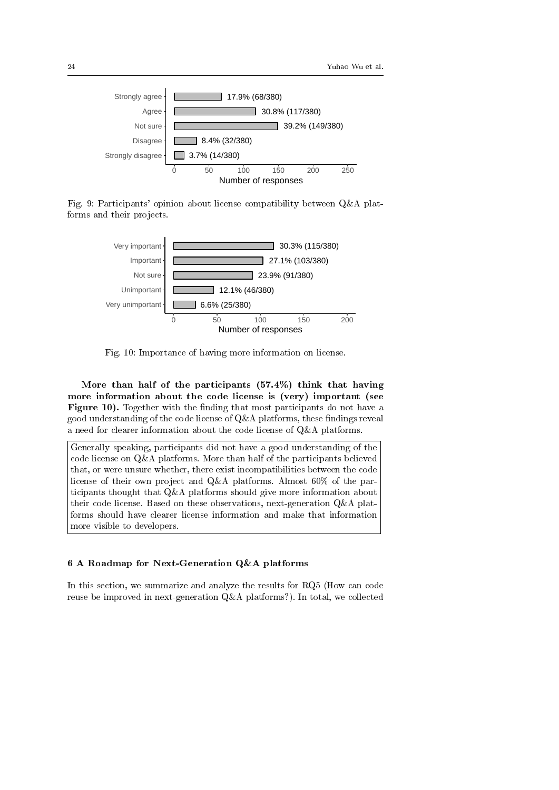<span id="page-23-1"></span>

Fig. 9: Participants' opinion about license compatibility between Q&A platforms and their projects.

<span id="page-23-2"></span>

Fig. 10: Importance of having more information on license.

More than half of the participants (57.4%) think that having more information about the code license is (very) important (see Figure [10\)](#page-23-2). Together with the finding that most participants do not have a good understanding of the code license of  $Q\&A$  platforms, these findings reveal a need for clearer information about the code license of Q&A platforms.

Generally speaking, participants did not have a good understanding of the code license on Q&A platforms. More than half of the participants believed that, or were unsure whether, there exist incompatibilities between the code license of their own project and Q&A platforms. Almost 60% of the participants thought that Q&A platforms should give more information about their code license. Based on these observations, next-generation Q&A platforms should have clearer license information and make that information more visible to developers.

# <span id="page-23-0"></span>6 A Roadmap for Next-Generation Q&A platforms

In this section, we summarize and analyze the results for RQ5 (How can code reuse be improved in next-generation Q&A platforms?). In total, we collected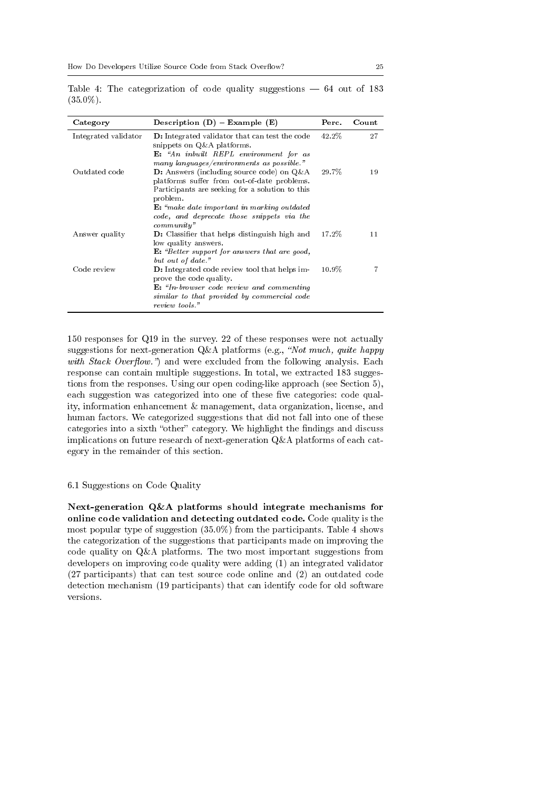| Category             | Description $(D)$ – Example $(E)$                                                                                                                                                                               | Perc. | Count |
|----------------------|-----------------------------------------------------------------------------------------------------------------------------------------------------------------------------------------------------------------|-------|-------|
| Integrated validator | <b>D</b> : Integrated validator that can test the code<br>snippets on Q&A platforms.<br><b>E</b> : "An inbuilt REPL environment for as                                                                          | 42.2% | 27    |
| Outdated code        | many languages/environments as possible."<br><b>D</b> : Answers (including source code) on $Q\&A$<br>platforms suffer from out-of-date problems.<br>Participants are seeking for a solution to this<br>problem. | 29.7% | 19    |
|                      | <b>E</b> : "make date important in marking outdated<br>code, and deprecate those snippets via the<br>community"                                                                                                 |       |       |
| Answer quality       | <b>D</b> : Classifier that helps distinguish high and<br>low quality answers.                                                                                                                                   | 17.2% | 11    |
|                      | <b>E</b> : "Better support for answers that are good,<br>but out of date."                                                                                                                                      |       |       |
| Code review          | <b>D</b> : Integrated code review tool that helps im-<br>prove the code quality.<br><b>E</b> : "In-browser code review and commenting<br>similar to that provided by commercial code<br>review tools."          | 10.9% |       |

<span id="page-24-0"></span>Table 4: The categorization of code quality suggestions  $-64$  out of 183 (35.0%).

150 responses for Q19 in the survey. 22 of these responses were not actually suggestions for next-generation  $Q\&A$  platforms (e.g., "Not much, quite happy with Stack Overflow.") and were excluded from the following analysis. Each response can contain multiple suggestions. In total, we extracted 183 suggestions from the responses. Using our open coding-like approach (see Section [5\)](#page-19-0), each suggestion was categorized into one of these five categories: code quality, information enhancement & management, data organization, license, and human factors. We categorized suggestions that did not fall into one of these categories into a sixth "other" category. We highlight the findings and discuss implications on future research of next-generation Q&A platforms of each category in the remainder of this section.

#### 6.1 Suggestions on Code Quality

Next-generation Q&A platforms should integrate mechanisms for online code validation and detecting outdated code. Code quality is the most popular type of suggestion (35.0%) from the participants. Table [4](#page-24-0) shows the categorization of the suggestions that participants made on improving the code quality on Q&A platforms. The two most important suggestions from developers on improving code quality were adding (1) an integrated validator (27 participants) that can test source code online and (2) an outdated code detection mechanism (19 participants) that can identify code for old software versions.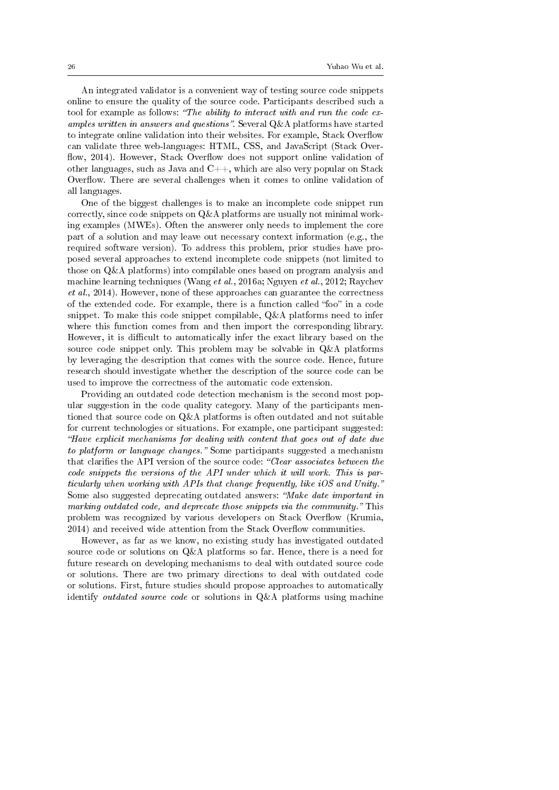An integrated validator is a convenient way of testing source code snippets online to ensure the quality of the source code. Participants described such a tool for example as follows: "The ability to interact with and run the code examples written in answers and questions". Several Q&A platforms have started to integrate online validation into their websites. For example, Stack Overflow can validate three web-languages: HTML, CSS, and JavaScript [\(Stack Over](#page-36-10) fl[ow, 2014\)](#page-36-10). However, Stack Overflow does not support online validation of other languages, such as Java and  $C_{++}$ , which are also very popular on Stack Overflow. There are several challenges when it comes to online validation of all languages.

One of the biggest challenges is to make an incomplete code snippet run correctly, since code snippets on Q&A platforms are usually not minimal working examples (MWEs). Often the answerer only needs to implement the core part of a solution and may leave out necessary context information (e.g., the required software version). To address this problem, prior studies have proposed several approaches to extend incomplete code snippets (not limited to those on Q&A platforms) into compilable ones based on program analysis and machine learning techniques [\(Wang](#page-37-9) et al., [2016a;](#page-37-9) [Nguyen](#page-35-5) et al., [2012;](#page-35-5) [Raychev](#page-36-11) [et al., 2014\)](#page-36-11). However, none of these approaches can guarantee the correctness of the extended code. For example, there is a function called "foo" in a code snippet. To make this code snippet compilable, Q&A platforms need to infer where this function comes from and then import the corresponding library. However, it is difficult to automatically infer the exact library based on the source code snippet only. This problem may be solvable in Q&A platforms by leveraging the description that comes with the source code. Hence, future research should investigate whether the description of the source code can be used to improve the correctness of the automatic code extension.

Providing an outdated code detection mechanism is the second most popular suggestion in the code quality category. Many of the participants mentioned that source code on Q&A platforms is often outdated and not suitable for current technologies or situations. For example, one participant suggested: Have explicit mechanisms for dealing with content that goes out of date due to platform or language changes." Some participants suggested a mechanism that clarifies the API version of the source code: "Clear associates between the code snippets the versions of the API under which it will work. This is particularly when working with APIs that change frequently, like iOS and Unity. Some also suggested deprecating outdated answers: "Make date important in marking outdated code, and deprecate those snippets via the community." This problem was recognized by various developers on Stack Overflow [\(Krumia,](#page-35-6)  $2014$ ) and received wide attention from the Stack Overflow communities.

However, as far as we know, no existing study has investigated outdated source code or solutions on Q&A platforms so far. Hence, there is a need for future research on developing mechanisms to deal with outdated source code or solutions. There are two primary directions to deal with outdated code or solutions. First, future studies should propose approaches to automatically identify *outdated source code* or solutions in Q&A platforms using machine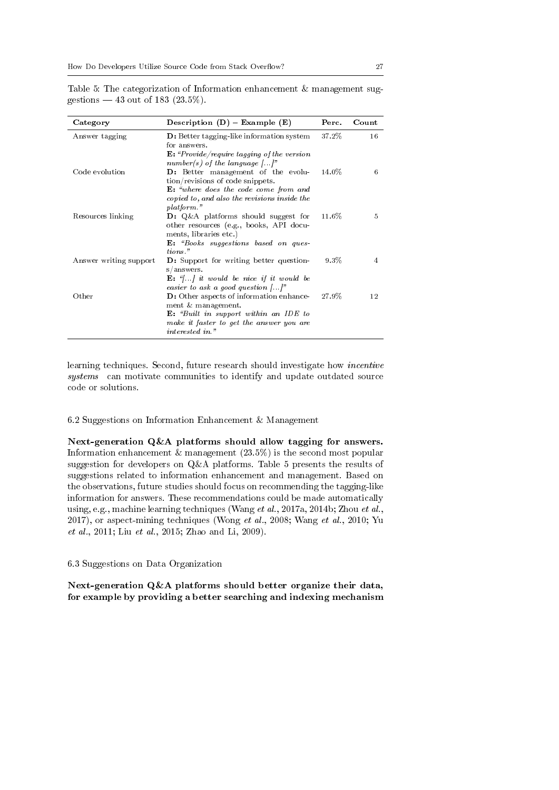| Category               | Description $(D)$ – Example $(E)$                                                                                                                           | Perc.   | Count          |
|------------------------|-------------------------------------------------------------------------------------------------------------------------------------------------------------|---------|----------------|
| Answer tagging         | <b>D</b> : Better tagging-like information system<br>for answers.                                                                                           | 37.2%   | 16             |
|                        | <b>E</b> : " <i>Provide/require tagging of the version</i><br>$number(s)$ of the language $[\ldots]$ "                                                      |         |                |
| Code evolution         | D: Better management of the evolu-<br>tion/revisions of code snippets.                                                                                      | 14.0%   | 6              |
|                        | <b>E:</b> "where does the code come from and<br>copied to, and also the revisions inside the                                                                |         |                |
| Resources linking      | $p$ <i>latform.</i> "<br>$\mathbf{D}$ : Q&A platforms should suggest for<br>other resources (e.g., books, API docu-                                         | 11.6%   | 5              |
|                        | ments, libraries etc.)<br><b>E</b> : "Books suggestions based on ques-<br>$tions$ ."                                                                        |         |                |
| Answer writing support | <b>D:</b> Support for writing better question-<br>s/answers.                                                                                                | $9.3\%$ | $\overline{4}$ |
|                        | $\mathbf{E}:$ "[] it would be nice if it would be<br>easier to ask a good question $\lceil \ldots \rceil$ "                                                 |         |                |
| Other                  | <b>D</b> : Other aspects of information enhance-<br>ment & management.<br>E: "Built in support within an IDE to<br>make it faster to get the answer you are | 27.9%   | 12             |
|                        | interested in."                                                                                                                                             |         |                |

<span id="page-26-1"></span>Table 5: The categorization of Information enhancement & management suggestions — 43 out of 183 (23.5%).

learning techniques. Second, future research should investigate how incentive systems can motivate communities to identify and update outdated source code or solutions.

<span id="page-26-0"></span>6.2 Suggestions on Information Enhancement & Management

Next-generation Q&A platforms should allow tagging for answers. Information enhancement  $\&$  management  $(23.5\%)$  is the second most popular suggestion for developers on Q&A platforms. Table [5](#page-26-1) presents the results of suggestions related to information enhancement and management. Based on the observations, future studies should focus on recommending the tagging-like information for answers. These recommendations could be made automatically using, e.g., machine learning techniques [\(Wang](#page-37-10) et al., [2017a,](#page-37-10) [2014b;](#page-37-11) [Zhou](#page-38-4) et al., [2017\)](#page-38-4), or aspect-mining techniques [\(Wong](#page-38-5) et al., [2008;](#page-38-5) [Wang](#page-37-12) et al., [2010;](#page-37-12) [Yu](#page-38-6) [et al., 2011;](#page-38-6) Liu [et al., 2015;](#page-35-7) [Zhao and Li, 2009\)](#page-38-7).

#### 6.3 Suggestions on Data Organization

Next-generation Q&A platforms should better organize their data, for example by providing a better searching and indexing mechanism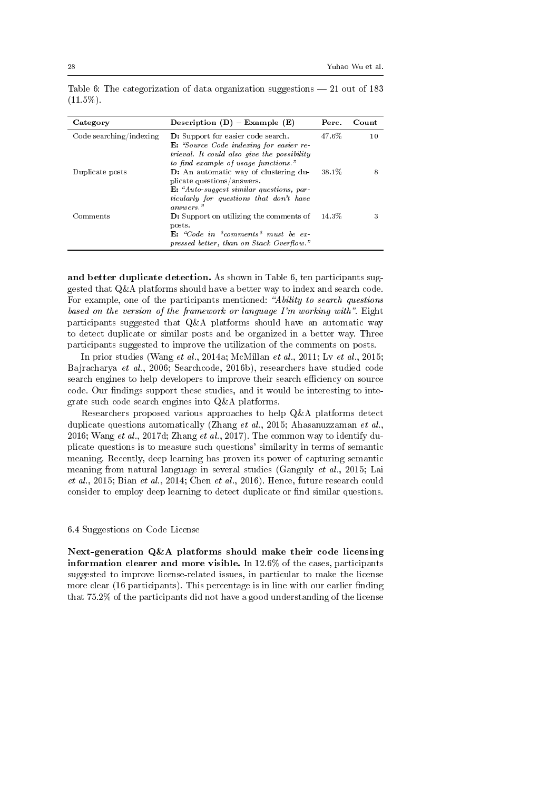| Category                | Description $(D)$ – Example $(E)$                                                                                                                                                          | Perc. | Count |
|-------------------------|--------------------------------------------------------------------------------------------------------------------------------------------------------------------------------------------|-------|-------|
| Code searching/indexing | <b>D</b> : Support for easier code search.<br><b>E:</b> "Source Code indexing for easier re-<br><i>trieval. It could also give the possibility</i><br>to find example of usage functions." | 47.6% | 10    |
| Duplicate posts         | <b>D</b> : An automatic way of clustering du-<br>plicate questions/answers.<br><b>E</b> : "Auto-suggest similar questions, par-<br>ticularly for questions that don't have<br>answers."    | 38.1% | 8     |
| Comments                | <b>D</b> : Support on utilizing the comments of<br>posts.<br>$E:$ "Code in *comments* must be ex-<br>pressed better, than on Stack Overflow."                                              | 14.3% | 3     |

<span id="page-27-0"></span>Table 6: The categorization of data organization suggestions  $-21$  out of 183  $(11.5\%)$ .

and better duplicate detection. As shown in Table [6,](#page-27-0) ten participants suggested that Q&A platforms should have a better way to index and search code. For example, one of the participants mentioned: "Ability to search questions based on the version of the framework or language  $\Gamma$ 'm working with". Eight participants suggested that Q&A platforms should have an automatic way to detect duplicate or similar posts and be organized in a better way. Three participants suggested to improve the utilization of the comments on posts.

In prior studies [\(Wang](#page-37-0) et al., [2014a;](#page-37-0) [McMillan](#page-35-8) et al., [2011;](#page-35-8) Lv [et al., 2015;](#page-35-9) [Bajracharya](#page-33-8) et al., [2006;](#page-33-8) [Searchcode, 2016b\)](#page-36-5), researchers have studied code search engines to help developers to improve their search efficiency on source code. Our findings support these studies, and it would be interesting to integrate such code search engines into Q&A platforms.

Researchers proposed various approaches to help Q&A platforms detect duplicate questions automatically [\(Zhang](#page-38-8) et al., [2015;](#page-38-8) [Ahasanuzzaman](#page-33-9) et al., [2016;](#page-33-9) [Wang](#page-38-9) et al., [2017d;](#page-38-9) [Zhang](#page-38-10) et al., [2017\)](#page-38-10). The common way to identify duplicate questions is to measure such questions' similarity in terms of semantic meaning. Recently, deep learning has proven its power of capturing semantic meaning from natural language in several studies [\(Ganguly](#page-34-9) et al., [2015;](#page-34-9) [Lai](#page-35-10) [et al., 2015;](#page-35-10) Bian [et al., 2014;](#page-33-10) [Chen](#page-34-10) et al., [2016\)](#page-34-10). Hence, future research could consider to employ deep learning to detect duplicate or find similar questions.

## 6.4 Suggestions on Code License

Next-generation Q&A platforms should make their code licensing information clearer and more visible. In 12.6% of the cases, participants suggested to improve license-related issues, in particular to make the license more clear  $(16$  participants). This percentage is in line with our earlier finding that 75.2% of the participants did not have a good understanding of the license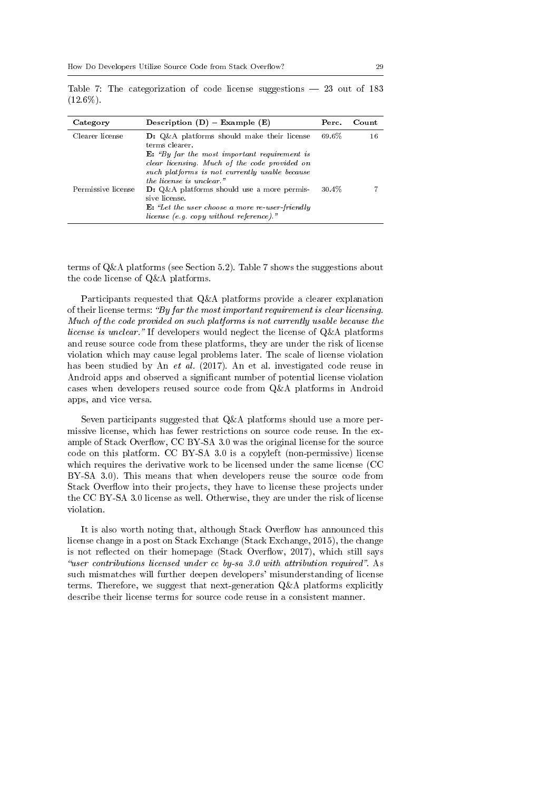| Description $(D)$ – Example $(E)$                                                                                          | Perc.                                                                                                   | Count          |
|----------------------------------------------------------------------------------------------------------------------------|---------------------------------------------------------------------------------------------------------|----------------|
| $\mathbf{D}$ : Q&A platforms should make their license<br>terms clearer.<br>$E:$ "By far the most important requirement is | 69.6%                                                                                                   | 16             |
| such platforms is not currently usable because<br>the license is unclear."                                                 |                                                                                                         |                |
| $\mathbf{D}$ : Q&A platforms should use a more permis-<br>sive license.                                                    | 30.4%                                                                                                   | $\overline{7}$ |
| license (e.g. copy without reference)."                                                                                    |                                                                                                         |                |
|                                                                                                                            | clear licensing. Much of the code provided on<br><b>E:</b> "Let the user choose a more re-user-friendly |                |

<span id="page-28-0"></span>Table 7: The categorization of code license suggestions  $-23$  out of 183  $(12.6\%)$ .

terms of Q&A platforms (see Section [5.2\)](#page-22-1). Table [7](#page-28-0) shows the suggestions about the code license of Q&A platforms.

Participants requested that Q&A platforms provide a clearer explanation of their license terms: "By far the most important requirement is clear licensing. Much of the code provided on such platforms is not currently usable because the license is unclear." If developers would neglect the license of  $Q\&A$  platforms and reuse source code from these platforms, they are under the risk of license violation which may cause legal problems later. The scale of license violation has been studied by An [et al.](#page-33-4) [\(2017\)](#page-33-4). An et al. investigated code reuse in Android apps and observed a significant number of potential license violation cases when developers reused source code from Q&A platforms in Android apps, and vice versa.

Seven participants suggested that Q&A platforms should use a more permissive license, which has fewer restrictions on source code reuse. In the example of Stack Overflow, CC BY-SA 3.0 was the original license for the source code on this platform. CC BY-SA 3.0 is a copyleft (non-permissive) license which requires the derivative work to be licensed under the same license (CC BY-SA 3.0). This means that when developers reuse the source code from Stack Overflow into their projects, they have to license these projects under the CC BY-SA 3.0 license as well. Otherwise, they are under the risk of license violation.

It is also worth noting that, although Stack Overflow has announced this license change in a post on Stack Exchange [\(Stack Exchange, 2015\)](#page-36-12), the change is not reflected on their homepage (Stack Overflow, 2017), which still says "user contributions licensed under  $cc$  by-sa 3.0 with attribution required". As such mismatches will further deepen developers' misunderstanding of license terms. Therefore, we suggest that next-generation Q&A platforms explicitly describe their license terms for source code reuse in a consistent manner.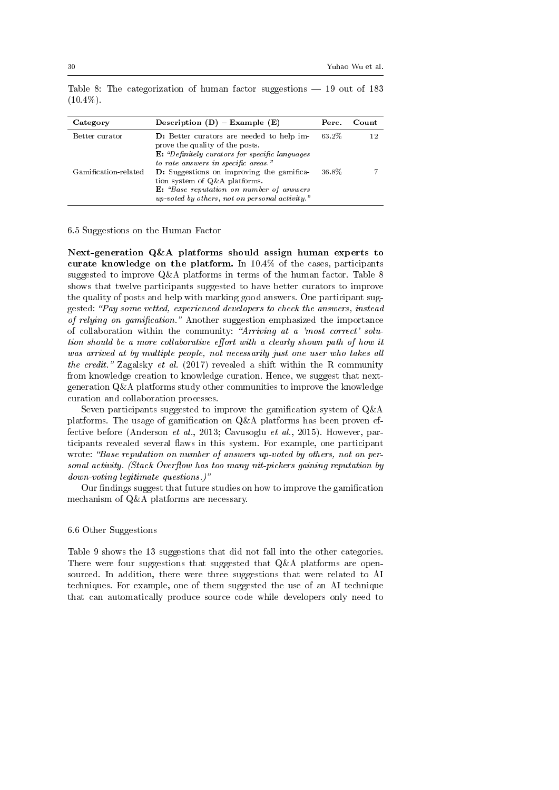| Category             | Description $(D)$ – Example $(E)$                                                                                                                                                        | Perc. | Count |
|----------------------|------------------------------------------------------------------------------------------------------------------------------------------------------------------------------------------|-------|-------|
| Better curator       | <b>D:</b> Better curators are needed to help im-<br>prove the quality of the posts.<br><b>E</b> : "Definitely curators for specific languages"<br>to rate answers in specific areas."    | 63.2% |       |
| Gamification-related | <b>D</b> : Suggestions on improving the gamifica-<br>tion system of Q&A platforms.<br><b>E:</b> "Base reputation on number of answers"<br>up-voted by others, not on personal activity." | 36.8% |       |

<span id="page-29-0"></span>Table 8: The categorization of human factor suggestions  $-19$  out of 183  $(10.4\%)$ .

#### 6.5 Suggestions on the Human Factor

Next-generation Q&A platforms should assign human experts to curate knowledge on the platform. In  $10.4\%$  of the cases, participants suggested to improve Q&A platforms in terms of the human factor. Table [8](#page-29-0) shows that twelve participants suggested to have better curators to improve the quality of posts and help with marking good answers. One participant suggested: Pay some vetted, experienced developers to check the answers, instead of relying on gamification." Another suggestion emphasized the importance of collaboration within the community: Arriving at a 'most correct' solution should be a more collaborative effort with a clearly shown path of how it was arrived at by multiple people, not necessarily just one user who takes all the credit." [Zagalsky](#page-38-11) et al. [\(2017\)](#page-38-11) revealed a shift within the R community from knowledge creation to knowledge curation. Hence, we suggest that nextgeneration Q&A platforms study other communities to improve the knowledge curation and collaboration processes.

Seven participants suggested to improve the gamification system of  $Q\&A$ platforms. The usage of gamification on  $Q\&A$  platforms has been proven effective before [\(Anderson](#page-33-11) et al., [2013;](#page-33-11) [Cavusoglu](#page-33-12) et al., [2015\)](#page-33-12). However, participants revealed several flaws in this system. For example, one participant wrote: "Base reputation on number of answers up-voted by others, not on personal activity. (Stack Overflow has too many nit-pickers gaining reputation by down-voting legitimate questions.)"

Our findings suggest that future studies on how to improve the gamification mechanism of Q&A platforms are necessary.

## 6.6 Other Suggestions

Table [9](#page-30-1) shows the 13 suggestions that did not fall into the other categories. There were four suggestions that suggested that  $Q\&A$  platforms are opensourced. In addition, there were three suggestions that were related to AI techniques. For example, one of them suggested the use of an AI technique that can automatically produce source code while developers only need to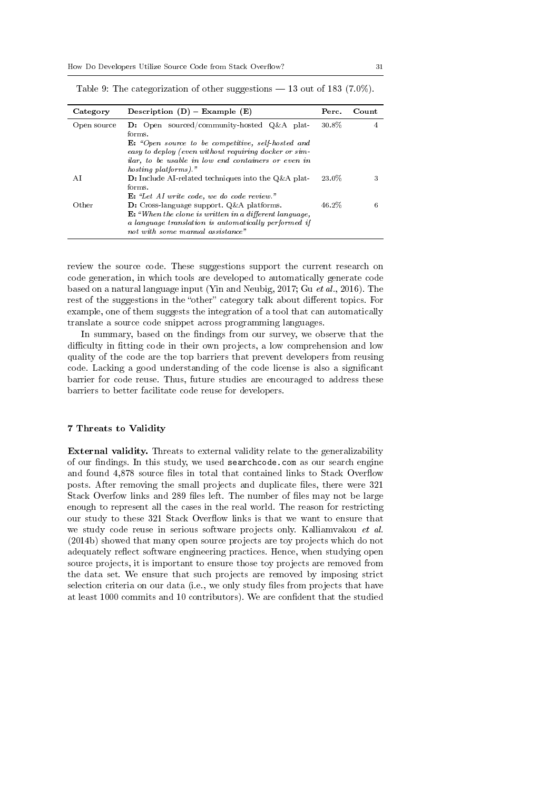| Category    | Description $(D)$ – Example $(E)$                                                                                                                                                                                                                                            | Perc. | Count |
|-------------|------------------------------------------------------------------------------------------------------------------------------------------------------------------------------------------------------------------------------------------------------------------------------|-------|-------|
| Open source | <b>D</b> : Open sourced/community-hosted $Q\&A$ plat-<br>forms.<br><b>E:</b> "Open source to be competitive, self-hosted and<br>easy to deploy (even without requiring docker or sim-<br><i>ilar</i> , to be usable in low end containers or even in<br>hosting platforms)." | 30.8% | 4     |
| ΑI          | <b>D</b> : Include AI-related techniques into the $Q\&A$ plat-<br>forms.                                                                                                                                                                                                     | 23.0% | 3     |
| Other       | <b>E:</b> "Let AI write code, we do code review."<br><b>D</b> : Cross-language support. $Q\&A$ platforms.<br><b>E:</b> "When the clone is written in a different language,<br>a language translation is automatically performed if<br>not with some manual assistance"       | 46.2% | 6     |

<span id="page-30-1"></span>Table 9: The categorization of other suggestions  $-13$  out of 183 (7.0%).

review the source code. These suggestions support the current research on code generation, in which tools are developed to automatically generate code based on a natural language input [\(Yin and Neubig, 2017;](#page-38-12) Gu [et al., 2016\)](#page-34-11). The rest of the suggestions in the "other" category talk about different topics. For example, one of them suggests the integration of a tool that can automatically translate a source code snippet across programming languages.

In summary, based on the findings from our survey, we observe that the difficulty in fitting code in their own projects, a low comprehension and low quality of the code are the top barriers that prevent developers from reusing code. Lacking a good understanding of the code license is also a signicant barrier for code reuse. Thus, future studies are encouraged to address these barriers to better facilitate code reuse for developers.

#### <span id="page-30-0"></span>7 Threats to Validity

External validity. Threats to external validity relate to the generalizability of our findings. In this study, we used **searchcode**.com as our search engine and found 4,878 source files in total that contained links to Stack Overflow posts. After removing the small projects and duplicate files, there were 321 Stack Overfow links and 289 files left. The number of files may not be large enough to represent all the cases in the real world. The reason for restricting our study to these 321 Stack Overflow links is that we want to ensure that we study code reuse in serious software projects only. [Kalliamvakou](#page-35-11) et al. [\(2014b\)](#page-35-11) showed that many open source projects are toy projects which do not adequately reflect software engineering practices. Hence, when studying open source projects, it is important to ensure those toy projects are removed from the data set. We ensure that such projects are removed by imposing strict selection criteria on our data (i.e., we only study files from projects that have at least 1000 commits and 10 contributors). We are condent that the studied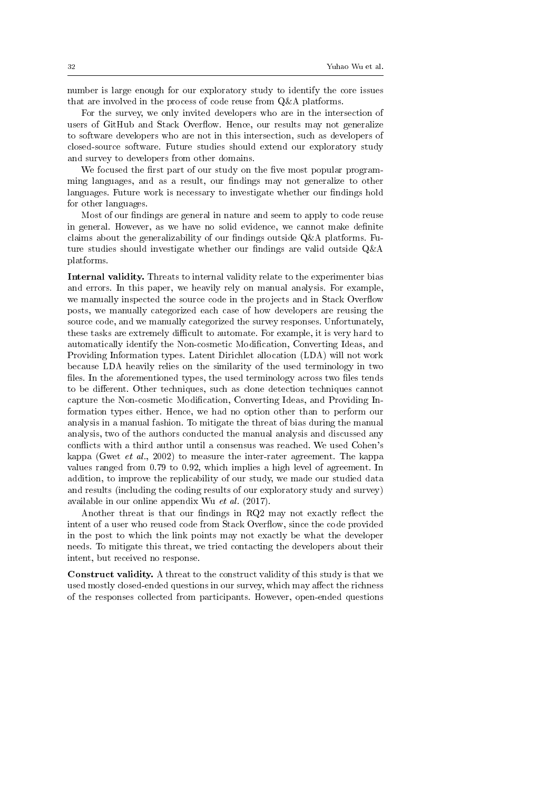number is large enough for our exploratory study to identify the core issues that are involved in the process of code reuse from Q&A platforms.

For the survey, we only invited developers who are in the intersection of users of GitHub and Stack Overflow. Hence, our results may not generalize to software developers who are not in this intersection, such as developers of closed-source software. Future studies should extend our exploratory study and survey to developers from other domains.

We focused the first part of our study on the five most popular programming languages, and as a result, our findings may not generalize to other languages. Future work is necessary to investigate whether our findings hold for other languages.

Most of our findings are general in nature and seem to apply to code reuse in general. However, as we have no solid evidence, we cannot make definite claims about the generalizability of our findings outside  $Q\&A$  platforms. Future studies should investigate whether our findings are valid outside  $Q\&A$ platforms.

Internal validity. Threats to internal validity relate to the experimenter bias and errors. In this paper, we heavily rely on manual analysis. For example, we manually inspected the source code in the projects and in Stack Overflow posts, we manually categorized each case of how developers are reusing the source code, and we manually categorized the survey responses. Unfortunately, these tasks are extremely difficult to automate. For example, it is very hard to automatically identify the Non-cosmetic Modification, Converting Ideas, and Providing Information types. Latent Dirichlet allocation (LDA) will not work because LDA heavily relies on the similarity of the used terminology in two files. In the aforementioned types, the used terminology across two files tends to be different. Other techniques, such as clone detection techniques cannot capture the Non-cosmetic Modification, Converting Ideas, and Providing Information types either. Hence, we had no option other than to perform our analysis in a manual fashion. To mitigate the threat of bias during the manual analysis, two of the authors conducted the manual analysis and discussed any conflicts with a third author until a consensus was reached. We used Cohen's kappa (Gwet [et al., 2002\)](#page-34-12) to measure the inter-rater agreement. The kappa values ranged from 0.79 to 0.92, which implies a high level of agreement. In addition, to improve the replicability of our study, we made our studied data and results (including the coding results of our exploratory study and survey) available in our online appendix Wu [et al.](#page-38-2) [\(2017\)](#page-38-2).

Another threat is that our findings in  $RQ2$  may not exactly reflect the intent of a user who reused code from Stack Overflow, since the code provided in the post to which the link points may not exactly be what the developer needs. To mitigate this threat, we tried contacting the developers about their intent, but received no response.

Construct validity. A threat to the construct validity of this study is that we used mostly closed-ended questions in our survey, which may affect the richness of the responses collected from participants. However, open-ended questions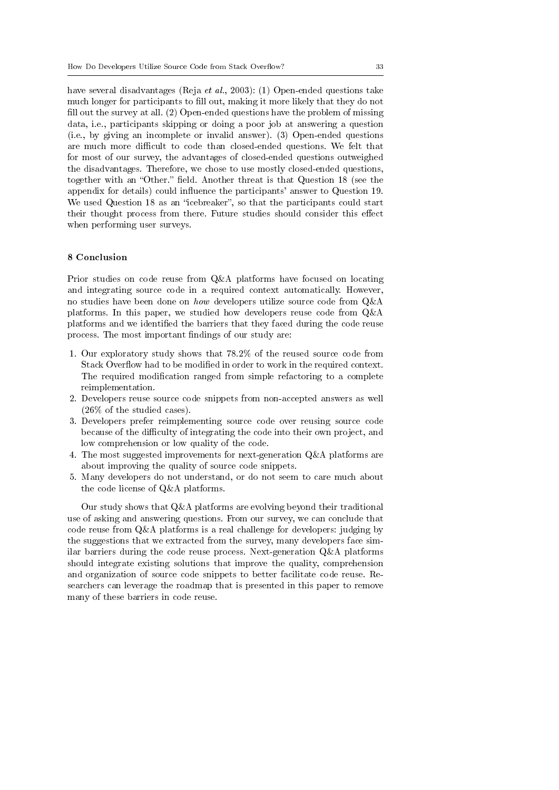have several disadvantages (Reja [et al., 2003\)](#page-36-14): (1) Open-ended questions take much longer for participants to fill out, making it more likely that they do not fill out the survey at all.  $(2)$  Open-ended questions have the problem of missing data, i.e., participants skipping or doing a poor job at answering a question (i.e., by giving an incomplete or invalid answer). (3) Open-ended questions are much more difficult to code than closed-ended questions. We felt that for most of our survey, the advantages of closed-ended questions outweighed the disadvantages. Therefore, we chose to use mostly closed-ended questions, together with an "Other." field. Another threat is that Question 18 (see the appendix for details) could influence the participants' answer to Question 19. We used Question 18 as an "icebreaker", so that the participants could start their thought process from there. Future studies should consider this effect when performing user surveys.

#### <span id="page-32-0"></span>8 Conclusion

Prior studies on code reuse from Q&A platforms have focused on locating and integrating source code in a required context automatically. However, no studies have been done on how developers utilize source code from Q&A platforms. In this paper, we studied how developers reuse code from Q&A platforms and we identified the barriers that they faced during the code reuse process. The most important findings of our study are:

- 1. Our exploratory study shows that 78.2% of the reused source code from Stack Overflow had to be modified in order to work in the required context. The required modification ranged from simple refactoring to a complete reimplementation.
- 2. Developers reuse source code snippets from non-accepted answers as well (26% of the studied cases).
- 3. Developers prefer reimplementing source code over reusing source code because of the difficulty of integrating the code into their own project, and low comprehension or low quality of the code.
- 4. The most suggested improvements for next-generation Q&A platforms are about improving the quality of source code snippets.
- 5. Many developers do not understand, or do not seem to care much about the code license of Q&A platforms.

Our study shows that Q&A platforms are evolving beyond their traditional use of asking and answering questions. From our survey, we can conclude that code reuse from Q&A platforms is a real challenge for developers: judging by the suggestions that we extracted from the survey, many developers face similar barriers during the code reuse process. Next-generation Q&A platforms should integrate existing solutions that improve the quality, comprehension and organization of source code snippets to better facilitate code reuse. Researchers can leverage the roadmap that is presented in this paper to remove many of these barriers in code reuse.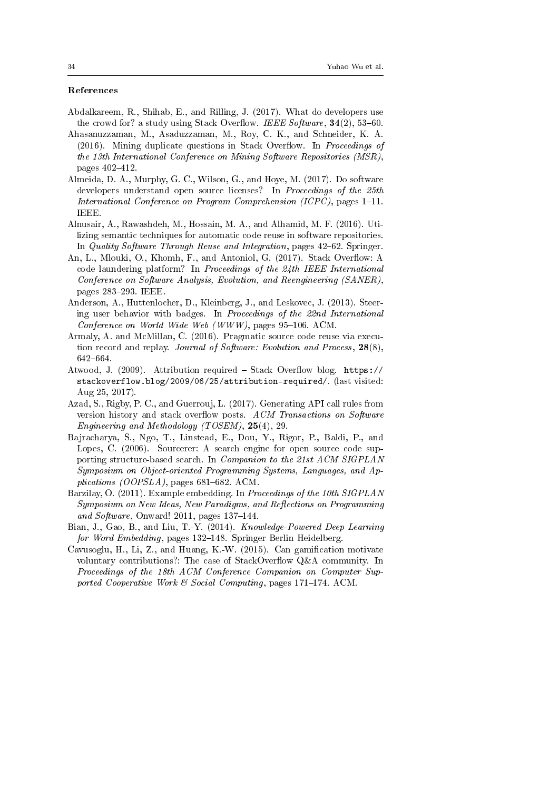### References

- <span id="page-33-2"></span>Abdalkareem, R., Shihab, E., and Rilling, J. (2017). What do developers use the crowd for? a study using Stack Overflow. IEEE Software,  $34(2)$ , 53–60.
- <span id="page-33-9"></span>Ahasanuzzaman, M., Asaduzzaman, M., Roy, C. K., and Schneider, K. A.  $(2016)$ . Mining duplicate questions in Stack Overflow. In Proceedings of the 13th International Conference on Mining Software Repositories (MSR), pages  $402 - 412$ .
- <span id="page-33-7"></span>Almeida, D. A., Murphy, G. C., Wilson, G., and Hoye, M. (2017). Do software developers understand open source licenses? In Proceedings of the 25th International Conference on Program Comprehension (ICPC), pages  $1-11$ . IEEE.
- <span id="page-33-1"></span>Alnusair, A., Rawashdeh, M., Hossain, M. A., and Alhamid, M. F. (2016). Utilizing semantic techniques for automatic code reuse in software repositories. In Quality Software Through Reuse and Integration, pages 42–62. Springer.
- <span id="page-33-4"></span>An, L., Mlouki, O., Khomh, F., and Antoniol, G. (2017). Stack Overflow: A code laundering platform? In Proceedings of the 24th IEEE International Conference on Software Analysis, Evolution, and Reengineering (SANER), pages 283-293. IEEE.
- <span id="page-33-11"></span>Anderson, A., Huttenlocher, D., Kleinberg, J., and Leskovec, J. (2013). Steering user behavior with badges. In Proceedings of the 22nd International Conference on World Wide Web  $(WWW)$ , pages 95-106. ACM.
- <span id="page-33-5"></span>Armaly, A. and McMillan, C. (2016). Pragmatic source code reuse via execution record and replay. Journal of Software: Evolution and Process, 28(8), 642-664.
- <span id="page-33-6"></span>Atwood, J. (2009). Attribution required - Stack Overflow blog. [https://](https://stackoverflow.blog/2009/06/25/attribution-required/) [stackoverflow.blog/2009/06/25/attribution-required/.](https://stackoverflow.blog/2009/06/25/attribution-required/) (last visited: Aug 25, 2017).
- <span id="page-33-3"></span>Azad, S., Rigby, P. C., and Guerrouj, L. (2017). Generating API call rules from version history and stack overflow posts. ACM Transactions on Software Engineering and Methodology (TOSEM), 25(4), 29.
- <span id="page-33-8"></span>Bajracharya, S., Ngo, T., Linstead, E., Dou, Y., Rigor, P., Baldi, P., and Lopes, C. (2006). Sourcerer: A search engine for open source code supporting structure-based search. In Companion to the 21st ACM SIGPLAN Symposium on Object-oriented Programming Systems, Languages, and Applications  $(OOPSLA)$ , pages 681–682. ACM.
- <span id="page-33-0"></span>Barzilay, O. (2011). Example embedding. In Proceedings of the 10th SIGPLAN Symposium on New Ideas, New Paradigms, and Reflections on Programming and Software, Onward! 2011, pages  $137-144$ .
- <span id="page-33-10"></span>Bian, J., Gao, B., and Liu, T.-Y. (2014). Knowledge-Powered Deep Learning for Word Embedding, pages 132-148. Springer Berlin Heidelberg.
- <span id="page-33-12"></span>Cavusoglu, H., Li, Z., and Huang, K.-W.  $(2015)$ . Can gamification motivate voluntary contributions?: The case of StackOverflow  $Q\&A$  community. In Proceedings of the 18th ACM Conference Companion on Computer Supported Cooperative Work & Social Computing, pages  $171-174$ . ACM.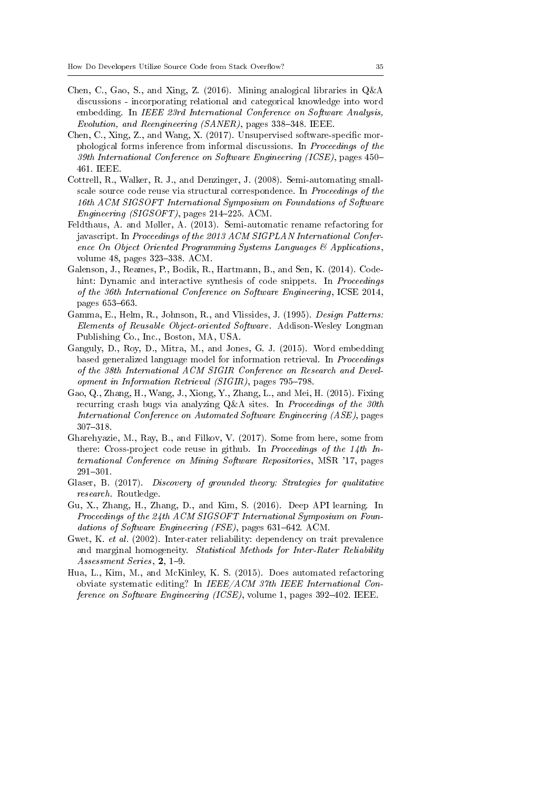- <span id="page-34-10"></span>Chen, C., Gao, S., and Xing, Z. (2016). Mining analogical libraries in Q&A discussions - incorporating relational and categorical knowledge into word embedding. In IEEE 23rd International Conference on Software Analysis, Evolution, and Reengineering  $(SANER)$ , pages 338-348. IEEE.
- <span id="page-34-6"></span>Chen, C., Xing, Z., and Wang, X. (2017). Unsupervised software-specific morphological forms inference from informal discussions. In Proceedings of the 39th International Conference on Software Engineering (ICSE), pages 450 461. IEEE.
- <span id="page-34-1"></span>Cottrell, R., Walker, R. J., and Denzinger, J. (2008). Semi-automating smallscale source code reuse via structural correspondence. In Proceedings of the 16th ACM SIGSOFT International Symposium on Foundations of Software Engineering (SIGSOFT), pages  $214-225$ . ACM.
- <span id="page-34-4"></span>Feldthaus, A. and Møller, A. (2013). Semi-automatic rename refactoring for javascript. In Proceedings of the 2013 ACM SIGPLAN International Conference On Object Oriented Programming Systems Languages  $\mathcal{B}$  Applications, volume  $48$ , pages  $323-338$ . ACM.
- <span id="page-34-8"></span>Galenson, J., Reames, P., Bodik, R., Hartmann, B., and Sen, K. (2014). Codehint: Dynamic and interactive synthesis of code snippets. In *Proceedings* of the 36th International Conference on Software Engineering, ICSE 2014, pages 653-663.
- <span id="page-34-0"></span>Gamma, E., Helm, R., Johnson, R., and Vlissides, J. (1995). Design Patterns: Elements of Reusable Object-oriented Software. Addison-Wesley Longman Publishing Co., Inc., Boston, MA, USA.
- <span id="page-34-9"></span>Ganguly, D., Roy, D., Mitra, M., and Jones, G. J. (2015). Word embedding based generalized language model for information retrieval. In Proceedings of the 38th International ACM SIGIR Conference on Research and Development in Information Retrieval  $(SIGIR)$ , pages 795-798.
- <span id="page-34-5"></span>Gao, Q., Zhang, H., Wang, J., Xiong, Y., Zhang, L., and Mei, H. (2015). Fixing recurring crash bugs via analyzing Q&A sites. In Proceedings of the 30th International Conference on Automated Software Engineering (ASE), pages 307-318.
- <span id="page-34-3"></span>Gharehyazie, M., Ray, B., and Filkov, V. (2017). Some from here, some from there: Cross-project code reuse in github. In Proceedings of the 14th International Conference on Mining Software Repositories, MSR '17, pages  $291 - 301$ .
- <span id="page-34-7"></span>Glaser, B. (2017). Discovery of grounded theory: Strategies for qualitative research. Routledge.
- <span id="page-34-11"></span>Gu, X., Zhang, H., Zhang, D., and Kim, S. (2016). Deep API learning. In Proceedings of the 24th ACM SIGSOFT International Symposium on Foundations of Software Engineering (FSE), pages  $631-642$ . ACM.
- <span id="page-34-12"></span>Gwet, K. et al. (2002). Inter-rater reliability: dependency on trait prevalence and marginal homogeneity. *Statistical Methods for Inter-Rater Reliability* Assessment Series, 2, 1-9.
- <span id="page-34-2"></span>Hua, L., Kim, M., and McKinley, K. S. (2015). Does automated refactoring obviate systematic editing? In IEEE/ACM 37th IEEE International Conference on Software Engineering  $(ICEE)$ , volume 1, pages 392-402. IEEE.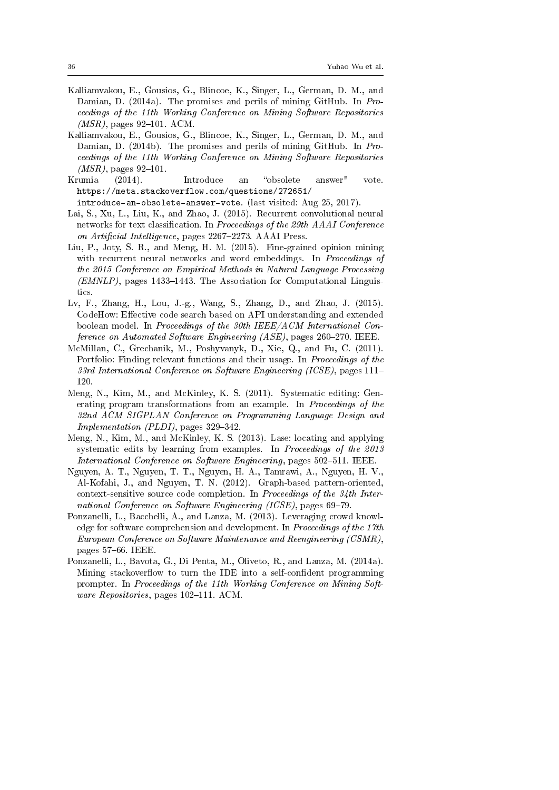- <span id="page-35-4"></span>Kalliamvakou, E., Gousios, G., Blincoe, K., Singer, L., German, D. M., and Damian, D. (2014a). The promises and perils of mining GitHub. In Proceedings of the 11th Working Conference on Mining Software Repositories  $(MSR)$ , pages 92–101. ACM.
- <span id="page-35-11"></span>Kalliamvakou, E., Gousios, G., Blincoe, K., Singer, L., German, D. M., and Damian, D. (2014b). The promises and perils of mining GitHub. In Proceedings of the 11th Working Conference on Mining Software Repositories  $(MSR)$ , pages 92-101.
- <span id="page-35-6"></span>Krumia (2014). Introduce an "obsolete answer" vote [https://meta.stackoverflow.com/questions/272651/](https://meta.stackoverflow.com/questions/272651/introduce-an-obsolete-answer-vote)

[introduce-an-obsolete-answer-vote.](https://meta.stackoverflow.com/questions/272651/introduce-an-obsolete-answer-vote) (last visited: Aug 25, 2017).

- <span id="page-35-10"></span>Lai, S., Xu, L., Liu, K., and Zhao, J. (2015). Recurrent convolutional neural networks for text classification. In Proceedings of the 29th AAAI Conference on Artificial Intelligence, pages 2267-2273. AAAI Press.
- <span id="page-35-7"></span>Liu, P., Joty, S. R., and Meng, H. M. (2015). Fine-grained opinion mining with recurrent neural networks and word embeddings. In Proceedings of the 2015 Conference on Empirical Methods in Natural Language Processing  $(EMNLP)$ , pages 1433–1443. The Association for Computational Linguistics.
- <span id="page-35-9"></span>Lv, F., Zhang, H., Lou, J.-g., Wang, S., Zhang, D., and Zhao, J. (2015). CodeHow: Effective code search based on API understanding and extended boolean model. In Proceedings of the 30th IEEE/ACM International Conference on Automated Software Engineering  $(ASE)$ , pages 260–270. IEEE.
- <span id="page-35-8"></span>McMillan, C., Grechanik, M., Poshyvanyk, D., Xie, Q., and Fu, C. (2011). Portfolio: Finding relevant functions and their usage. In Proceedings of the 33rd International Conference on Software Engineering (ICSE), pages 111 120.
- <span id="page-35-1"></span>Meng, N., Kim, M., and McKinley, K. S. (2011). Systematic editing: Generating program transformations from an example. In *Proceedings of the* 32nd ACM SIGPLAN Conference on Programming Language Design and Implementation (PLDI), pages  $329-342$ .
- <span id="page-35-2"></span>Meng, N., Kim, M., and McKinley, K. S. (2013). Lase: locating and applying systematic edits by learning from examples. In Proceedings of the 2013 International Conference on Software Engineering, pages 502–511. IEEE.
- <span id="page-35-5"></span>Nguyen, A. T., Nguyen, T. T., Nguyen, H. A., Tamrawi, A., Nguyen, H. V., Al-Kofahi, J., and Nguyen, T. N. (2012). Graph-based pattern-oriented, context-sensitive source code completion. In Proceedings of the 34th International Conference on Software Engineering (ICSE), pages 69–79.
- <span id="page-35-3"></span>Ponzanelli, L., Bacchelli, A., and Lanza, M. (2013). Leveraging crowd knowledge for software comprehension and development. In Proceedings of the 17th European Conference on Software Maintenance and Reengineering (CSMR), pages 57-66. IEEE.
- <span id="page-35-0"></span>Ponzanelli, L., Bavota, G., Di Penta, M., Oliveto, R., and Lanza, M. (2014a). Mining stackoverflow to turn the IDE into a self-confident programming prompter. In Proceedings of the 11th Working Conference on Mining Software Repositories, pages  $102-111$ . ACM.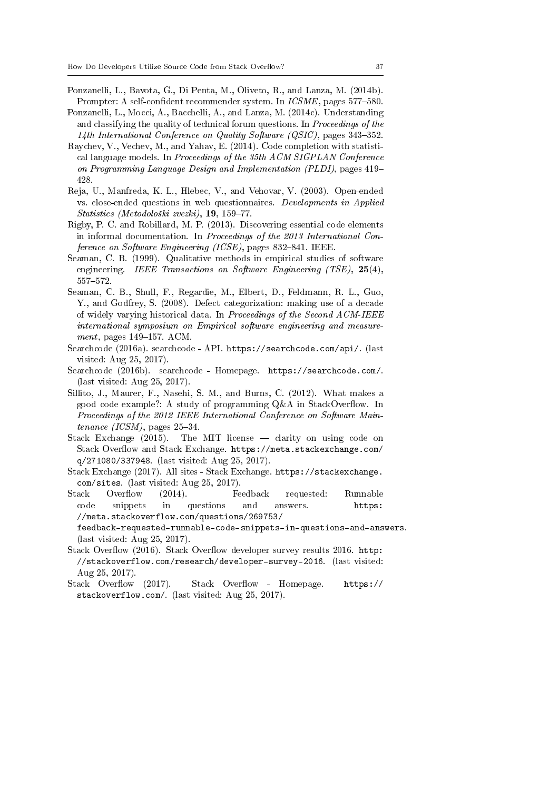- <span id="page-36-1"></span>Ponzanelli, L., Bavota, G., Di Penta, M., Oliveto, R., and Lanza, M. (2014b). Prompter: A self-confident recommender system. In *ICSME*, pages 577–580.
- <span id="page-36-3"></span>Ponzanelli, L., Mocci, A., Bacchelli, A., and Lanza, M. (2014c). Understanding and classifying the quality of technical forum questions. In Proceedings of the 14th International Conference on Quality Software  $(QSIC)$ , pages 343-352.
- <span id="page-36-11"></span>Raychev, V., Vechev, M., and Yahav, E. (2014). Code completion with statistical language models. In Proceedings of the 35th ACM SIGPLAN Conference on Programming Language Design and Implementation (PLDI), pages 419 428.
- <span id="page-36-14"></span>Reja, U., Manfreda, K. L., Hlebec, V., and Vehovar, V. (2003). Open-ended vs. close-ended questions in web questionnaires. Developments in Applied Statistics (Metodološki zvezki), 19, 159-77.
- <span id="page-36-4"></span>Rigby, P. C. and Robillard, M. P. (2013). Discovering essential code elements in informal documentation. In Proceedings of the 2013 International Con $f$ erence on Software Engineering (ICSE), pages 832–841. IEEE.
- <span id="page-36-8"></span>Seaman, C. B. (1999). Qualitative methods in empirical studies of software engineering. IEEE Transactions on Software Engineering (TSE), 25(4), 557-572.
- <span id="page-36-9"></span>Seaman, C. B., Shull, F., Regardie, M., Elbert, D., Feldmann, R. L., Guo, Y., and Godfrey, S. (2008). Defect categorization: making use of a decade of widely varying historical data. In Proceedings of the Second ACM-IEEE international symposium on Empirical software engineering and measurement, pages  $149-157$ . ACM.
- <span id="page-36-6"></span>Searchcode (2016a). searchcode - API. [https://searchcode.com/api/.](https://searchcode.com/api/) (last visited: Aug 25, 2017).
- <span id="page-36-5"></span>Searchcode (2016b). searchcode - Homepage. [https://searchcode.com/.](https://searchcode.com/) (last visited: Aug 25, 2017).
- <span id="page-36-2"></span>Sillito, J., Maurer, F., Nasehi, S. M., and Burns, C. (2012). What makes a good code example?: A study of programming  $Q\&A$  in StackOverflow. In Proceedings of the 2012 IEEE International Conference on Software Maintenance (ICSM), pages  $25-34$ .
- <span id="page-36-12"></span>Stack Exchange (2015). The MIT license  $\sim$  clarity on using code on Stack Overflow and Stack Exchange. [https://meta.stackexchange.com/](https://meta.stackexchange.com/q/271080/337948) [q/271080/337948.](https://meta.stackexchange.com/q/271080/337948) (last visited: Aug 25, 2017).
- <span id="page-36-0"></span>Stack Exchange (2017). All sites - Stack Exchange. [https://stackexchange.](https://stackexchange.com/sites) [com/sites.](https://stackexchange.com/sites) (last visited: Aug 25, 2017).
- <span id="page-36-10"></span>Stack Overflow (2014). Feedback requested: Runnable code snippets in questions and answers. [https:](https://meta.stackoverflow.com/questions/269753/feedback-requested-runnable-code-snippets-in-questions-and-answers) [//meta.stackoverflow.com/questions/269753/](https://meta.stackoverflow.com/questions/269753/feedback-requested-runnable-code-snippets-in-questions-and-answers)
	- [feedback-requested-runnable-code-snippets-in-questions-and-answers.](https://meta.stackoverflow.com/questions/269753/feedback-requested-runnable-code-snippets-in-questions-and-answers) (last visited: Aug 25, 2017).
- <span id="page-36-7"></span>Stack Overflow (2016). Stack Overflow developer survey results 2016. [http:](http://stackoverflow.com/research/developer-survey-2016) [//stackoverflow.com/research/developer-survey-2016.](http://stackoverflow.com/research/developer-survey-2016) (last visited: Aug 25, 2017).
- <span id="page-36-13"></span>Stack Overflow (2017). Stack Overflow - Homepage. [https://](https://stackoverflow.com/) [stackoverflow.com/.](https://stackoverflow.com/) (last visited: Aug 25, 2017).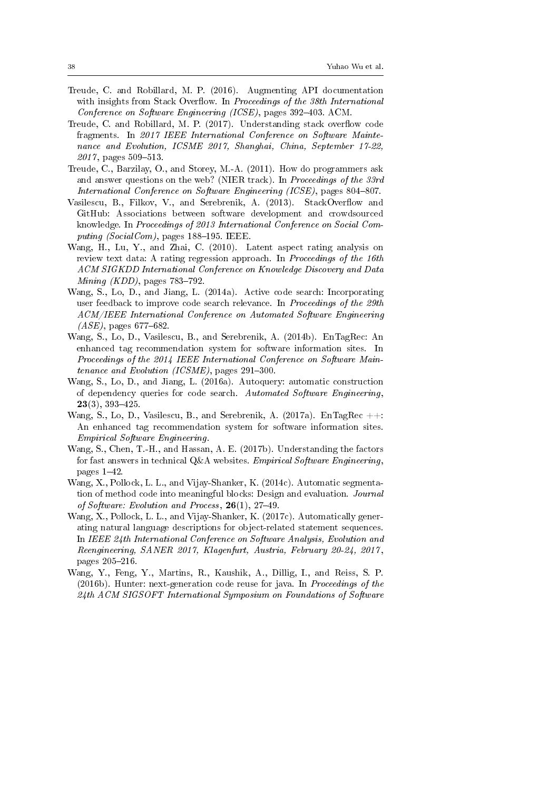- <span id="page-37-6"></span>Treude, C. and Robillard, M. P. (2016). Augmenting API documentation with insights from Stack Overflow. In Proceedings of the 38th International Conference on Software Engineering (ICSE), pages 392–403. ACM.
- <span id="page-37-2"></span>Treude, C. and Robillard, M. P. (2017). Understanding stack overflow code fragments. In 2017 IEEE International Conference on Software Maintenance and Evolution, ICSME 2017, Shanghai, China, September 17-22,  $2017$ , pages  $509 - 513$ .
- <span id="page-37-4"></span>Treude, C., Barzilay, O., and Storey, M.-A. (2011). How do programmers ask and answer questions on the web? (NIER track). In Proceedings of the 33rd International Conference on Software Engineering (ICSE), pages 804-807.
- <span id="page-37-8"></span>Vasilescu, B., Filkov, V., and Serebrenik, A. (2013). StackOverflow and GitHub: Associations between software development and crowdsourced knowledge. In Proceedings of 2013 International Conference on Social Computing (SocialCom), pages  $188-195$ . IEEE
- <span id="page-37-12"></span>Wang, H., Lu, Y., and Zhai, C. (2010). Latent aspect rating analysis on review text data: A rating regression approach. In Proceedings of the 16th ACM SIGKDD International Conference on Knowledge Discovery and Data Mining  $(KDD)$ , pages 783-792.
- <span id="page-37-0"></span>Wang, S., Lo, D., and Jiang, L. (2014a). Active code search: Incorporating user feedback to improve code search relevance. In Proceedings of the 29th ACM/IEEE International Conference on Automated Software Engineering  $(ASE)$ , pages 677–682.
- <span id="page-37-11"></span>Wang, S., Lo, D., Vasilescu, B., and Serebrenik, A. (2014b). EnTagRec: An enhanced tag recommendation system for software information sites. In Proceedings of the 2014 IEEE International Conference on Software Maintenance and Evolution (ICSME), pages  $291-300$ .
- <span id="page-37-9"></span>Wang, S., Lo, D., and Jiang, L. (2016a). Autoquery: automatic construction of dependency queries for code search. Automated Software Engineering,  $23(3), 393-425.$
- <span id="page-37-10"></span>Wang, S., Lo, D., Vasilescu, B., and Serebrenik, A. (2017a). EnTagRec ++: An enhanced tag recommendation system for software information sites. Empirical Software Engineering.
- <span id="page-37-7"></span>Wang, S., Chen, T.-H., and Hassan, A. E. (2017b). Understanding the factors for fast answers in technical Q&A websites. Empirical Software Engineering, pages  $1-42$ .
- <span id="page-37-1"></span>Wang, X., Pollock, L. L., and Vijay-Shanker, K. (2014c). Automatic segmentation of method code into meaningful blocks: Design and evaluation. Journal of Software: Evolution and Process,  $26(1)$ , 27-49.
- <span id="page-37-5"></span>Wang, X., Pollock, L. L., and Vijay-Shanker, K. (2017c). Automatically generating natural language descriptions for object-related statement sequences. In IEEE 24th International Conference on Software Analysis, Evolution and Reengineering, SANER 2017, Klagenfurt, Austria, February 20-24, 2017, pages 205-216.
- <span id="page-37-3"></span>Wang, Y., Feng, Y., Martins, R., Kaushik, A., Dillig, I., and Reiss, S. P. (2016b). Hunter: next-generation code reuse for java. In Proceedings of the 24th ACM SIGSOFT International Symposium on Foundations of Software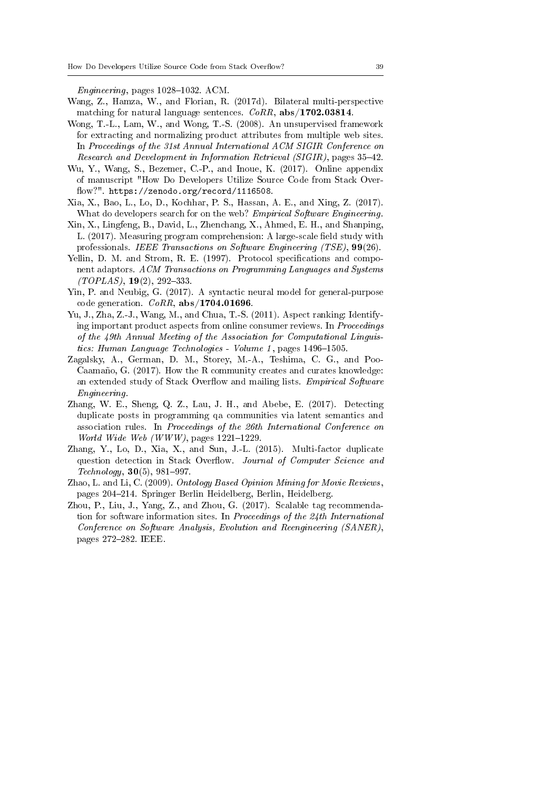$Engineering, pages 1028–1032. ACM.$ 

- <span id="page-38-9"></span>Wang, Z., Hamza, W., and Florian, R. (2017d). Bilateral multi-perspective matching for natural language sentences.  $CoRR$ ,  $abs/1702.03814$ .
- <span id="page-38-5"></span>Wong, T.-L., Lam, W., and Wong, T.-S. (2008). An unsupervised framework for extracting and normalizing product attributes from multiple web sites. In Proceedings of the 31st Annual International ACM SIGIR Conference on Research and Development in Information Retrieval (SIGIR), pages 35–42.
- <span id="page-38-2"></span>Wu, Y., Wang, S., Bezemer, C.-P., and Inoue, K. (2017). Online appendix of manuscript "How Do Developers Utilize Source Code from Stack Over flow?". [https://zenodo.org/record/1116508.](https://zenodo.org/record/1116508)
- <span id="page-38-1"></span>Xia, X., Bao, L., Lo, D., Kochhar, P. S., Hassan, A. E., and Xing, Z. (2017). What do developers search for on the web? Empirical Software Engineering.
- <span id="page-38-3"></span>Xin, X., Lingfeng, B., David, L., Zhenchang, X., Ahmed, E. H., and Shanping, L.  $(2017)$ . Measuring program comprehension: A large-scale field study with professionals. IEEE Transactions on Software Engineering (TSE), 99(26).
- <span id="page-38-0"></span>Yellin, D. M. and Strom, R. E. (1997). Protocol specifications and component adaptors. ACM Transactions on Programming Languages and Systems  $(TOPLAS)$ , 19(2), 292-333.
- <span id="page-38-12"></span>Yin, P. and Neubig, G. (2017). A syntactic neural model for general-purpose code generation.  $CoRR$ , abs/1704.01696.
- <span id="page-38-6"></span>Yu, J., Zha, Z.-J., Wang, M., and Chua, T.-S. (2011). Aspect ranking: Identifying important product aspects from online consumer reviews. In Proceedings of the 49th Annual Meeting of the Association for Computational Linguistics: Human Language Technologies - Volume 1, pages  $1496-1505$ .
- <span id="page-38-11"></span>Zagalsky, A., German, D. M., Storey, M.-A., Teshima, C. G., and Poo-Caamaño, G. (2017). How the R community creates and curates knowledge: an extended study of Stack Overflow and mailing lists. Empirical Software Engineering.
- <span id="page-38-10"></span>Zhang, W. E., Sheng, Q. Z., Lau, J. H., and Abebe, E. (2017). Detecting duplicate posts in programming qa communities via latent semantics and association rules. In Proceedings of the 26th International Conference on World Wide Web (WWW), pages  $1221-1229$ .
- <span id="page-38-8"></span>Zhang, Y., Lo, D., Xia, X., and Sun, J.-L. (2015). Multi-factor duplicate question detection in Stack Overflow. Journal of Computer Science and  $Technology, 30(5), 981-997.$
- <span id="page-38-7"></span>Zhao, L. and Li, C. (2009). Ontology Based Opinion Mining for Movie Reviews, pages 204214. Springer Berlin Heidelberg, Berlin, Heidelberg.
- <span id="page-38-4"></span>Zhou, P., Liu, J., Yang, Z., and Zhou, G. (2017). Scalable tag recommendation for software information sites. In Proceedings of the 24th International Conference on Software Analysis, Evolution and Reengineering (SANER), pages 272-282. IEEE.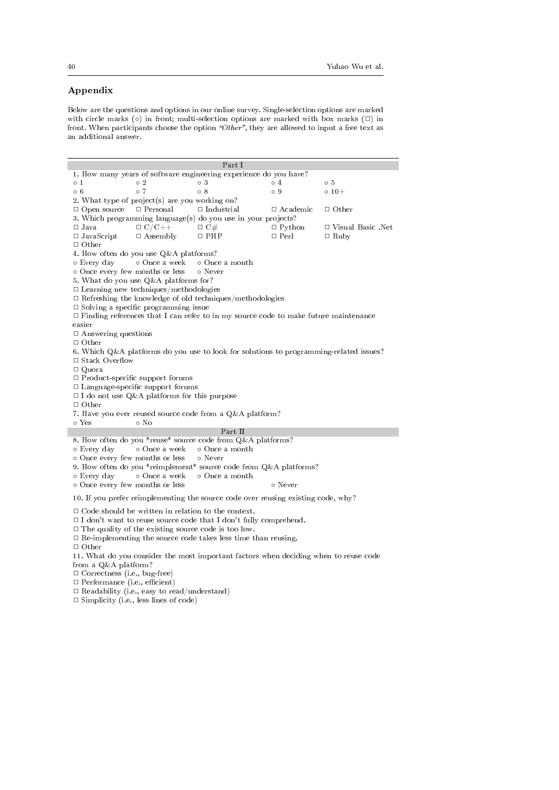# Appendix

Below are the questions and options in our online survey. Single-selection options are marked with circle marks ( $\circ$ ) in front; multi-selection options are marked with box marks ( $\Box$ ) in front. When participants choose the option "Other", they are allowed to input a free text as an additional answer.

Part I 1. How many years of software engineering experience do you have?<br> $\frac{1}{2}$  $\circ 1$   $\circ 2$   $\circ 3$   $\circ 4$   $\circ 5$ ◦ 6 ◦ 7 ◦ 8 ◦ 9 ◦ 10+ 2. What type of project(s) are you working on? ✷ Open source ✷ Personal ✷ Industrial ✷ Academic ✷ Other 3. Which programming language(s) do you use in your projects?  $\Box$  Java  $\Box$   $C/C++$   $\Box$   $C\#$   $\Box$  Python  $\Box$  Visual Basic .Net  $\Box$  JavaScript  $\Box$  Assembly  $\Box$  PHP  $\Box$  Perl  $\Box$  Ruby □ Other 4. How often do you use Q&A platforms?<br>  $\circ$  Every day  $\circ$  Once a week  $\circ$  Onc ◦ Every day ◦ Once a week ◦ Once a month ◦ Once every few months or less ◦ Never 5. What do you use Q&A platforms for?  $\Box$  Learning new techniques/methodologies  $\Box$  Refreshing the knowledge of old techniques/methodologies  $\Box$  Solving a specific programming issue  $\Box$  Finding references that I can refer to in my source code to make future maintenance easier  $\Box$  Answering questions  $\Box$  Other 6. Which Q&A platforms do you use to look for solutions to programming-related issues?  $\hfill\Box$ <br> <br> Stack Overflow  $\Box$  Quora  $\Box$  Product-specific support forums  $\Box$  Language-specific support forums  $\Box$  I do not use Q&A platforms for this purpose □ Other 7. Have you ever reused source code from a Q&A platform? ◦ Yes ◦ No Part II 8. How often do you \*reuse\* source code from Q&A platforms? ◦ Every day ◦ Once a week ◦ Once a month ◦ Once every few months or less ◦ Never 9. How often do you \*reimplement\* source code from Q&A platforms?<br>  $\circ$  Every day  $\circ$  Once a week  $\circ$  Once a month ◦ Every day ◦ Once a week ◦ Once a month ◦ Once every few months or less ◦ Never 10. If you prefer reimplementing the source code over reusing existing code, why?  $\Box$  Code should be written in relation to the context.  $\Box$  I don't want to reuse source code that I don't fully comprehend.  $\Box$  The quality of the existing source code is too low.  $\Box$  Re-implementing the source code takes less time than reusing.  $\Box$ <br> Other 11. What do you consider the most important factors when deciding when to reuse code from a Q&A platform? ✷ Correctness (i.e., bug-free)  $\Box$  Performance (i.e., efficient)

 $\Box$  Readability (i.e., easy to read/understand)

 $\Box$  Simplicity (i.e., less lines of code)